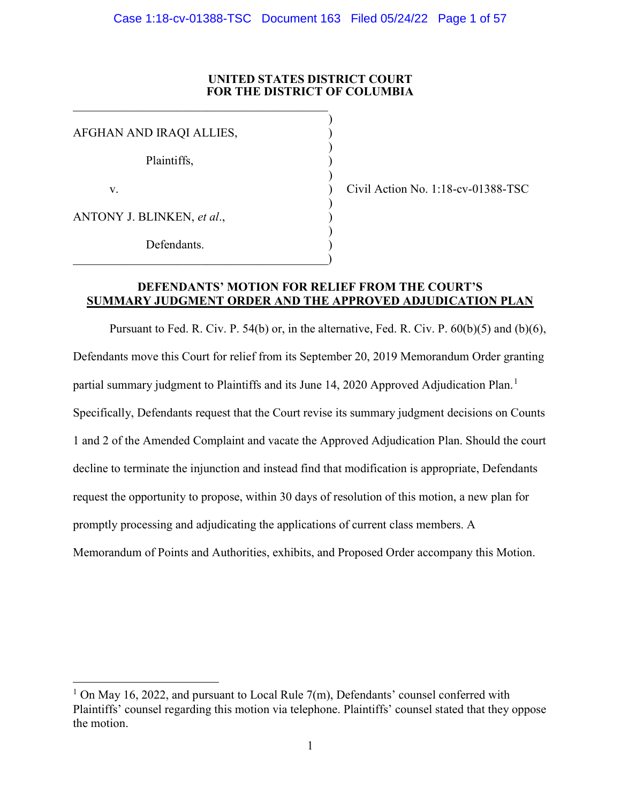### UNITED STATES DISTRICT COURT FOR THE DISTRICT OF COLUMBIA

 $\mathcal{L}$ 

AFGHAN AND IRAQI ALLIES, )  $)$  Plaintiffs, )  $)$  v. ) Civil Action No. 1:18-cv-01388-TSC  $)$ ANTONY J. BLINKEN, et al.,  $)$ Defendants.  $\qquad \qquad \qquad \qquad \qquad$ 

 $\overline{a}$ 

### DEFENDANTS' MOTION FOR RELIEF FROM THE COURT'S SUMMARY JUDGMENT ORDER AND THE APPROVED ADJUDICATION PLAN

Pursuant to Fed. R. Civ. P. 54(b) or, in the alternative, Fed. R. Civ. P. 60(b)(5) and (b)(6), Defendants move this Court for relief from its September 20, 2019 Memorandum Order granting partial summary judgment to Plaintiffs and its June 14, 2020 Approved Adjudication Plan.<sup>1</sup> Specifically, Defendants request that the Court revise its summary judgment decisions on Counts 1 and 2 of the Amended Complaint and vacate the Approved Adjudication Plan. Should the court decline to terminate the injunction and instead find that modification is appropriate, Defendants request the opportunity to propose, within 30 days of resolution of this motion, a new plan for promptly processing and adjudicating the applications of current class members. A Memorandum of Points and Authorities, exhibits, and Proposed Order accompany this Motion.

<sup>&</sup>lt;sup>1</sup> On May 16, 2022, and pursuant to Local Rule 7(m), Defendants' counsel conferred with Plaintiffs' counsel regarding this motion via telephone. Plaintiffs' counsel stated that they oppose the motion.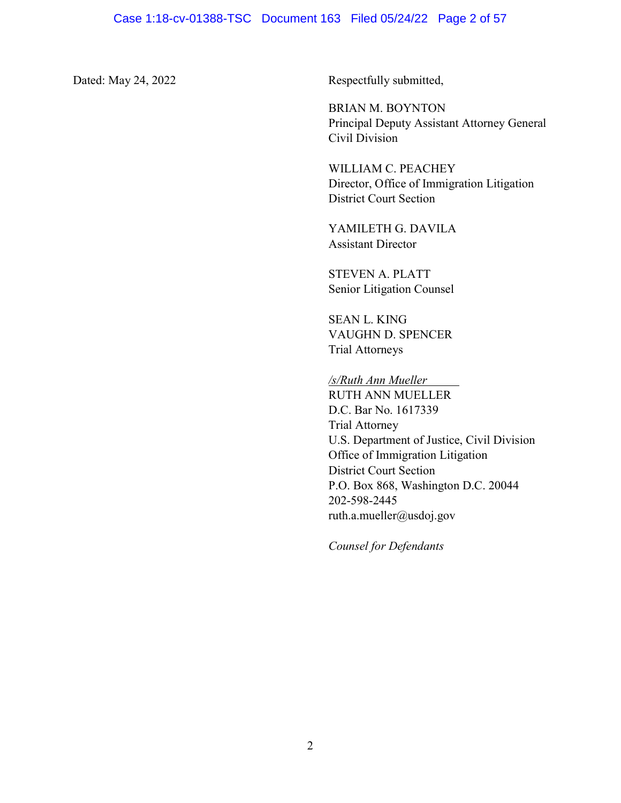Dated: May 24, 2022 Respectfully submitted,

 BRIAN M. BOYNTON Principal Deputy Assistant Attorney General Civil Division

 WILLIAM C. PEACHEY Director, Office of Immigration Litigation District Court Section

 YAMILETH G. DAVILA Assistant Director

 STEVEN A. PLATT Senior Litigation Counsel

 SEAN L. KING VAUGHN D. SPENCER Trial Attorneys

/s/Ruth Ann Mueller RUTH ANN MUELLER D.C. Bar No. 1617339 Trial Attorney U.S. Department of Justice, Civil Division Office of Immigration Litigation District Court Section P.O. Box 868, Washington D.C. 20044 202-598-2445 ruth.a.mueller@usdoj.gov

Counsel for Defendants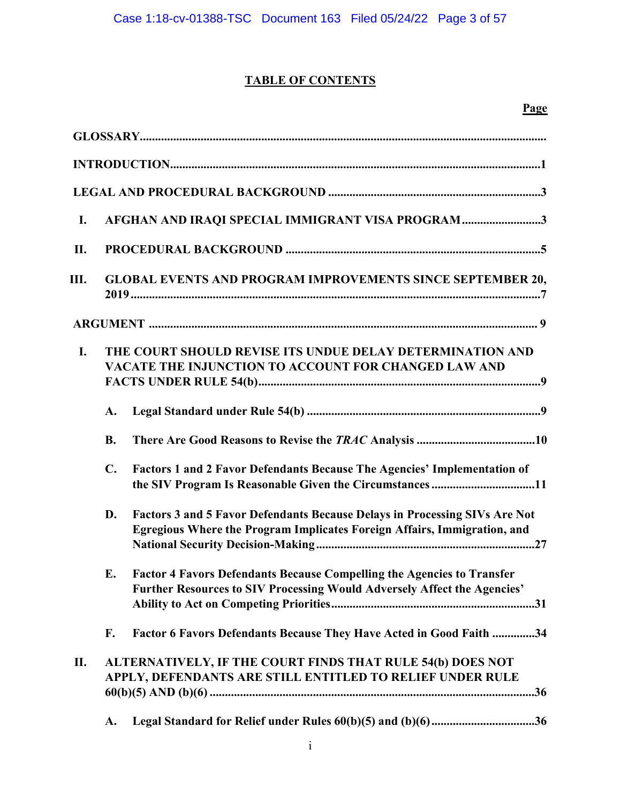# TABLE OF CONTENTS

| $\mathbf{I}$ . |                | AFGHAN AND IRAQI SPECIAL IMMIGRANT VISA PROGRAM3                                                                                                          |
|----------------|----------------|-----------------------------------------------------------------------------------------------------------------------------------------------------------|
| II.            |                |                                                                                                                                                           |
| Ш.             |                | <b>GLOBAL EVENTS AND PROGRAM IMPROVEMENTS SINCE SEPTEMBER 20,</b>                                                                                         |
|                |                |                                                                                                                                                           |
| <b>I.</b>      |                | THE COURT SHOULD REVISE ITS UNDUE DELAY DETERMINATION AND<br>VACATE THE INJUNCTION TO ACCOUNT FOR CHANGED LAW AND                                         |
|                | A.             |                                                                                                                                                           |
|                | <b>B.</b>      |                                                                                                                                                           |
|                | $\mathbf{C}$ . | Factors 1 and 2 Favor Defendants Because The Agencies' Implementation of<br>the SIV Program Is Reasonable Given the Circumstances 11                      |
|                | D.             | Factors 3 and 5 Favor Defendants Because Delays in Processing SIVs Are Not<br>Egregious Where the Program Implicates Foreign Affairs, Immigration, and    |
|                | E.             | <b>Factor 4 Favors Defendants Because Compelling the Agencies to Transfer</b><br>Further Resources to SIV Processing Would Adversely Affect the Agencies' |
|                | F.             | Factor 6 Favors Defendants Because They Have Acted in Good Faith 34                                                                                       |
| II.            |                | ALTERNATIVELY, IF THE COURT FINDS THAT RULE 54(b) DOES NOT<br>APPLY, DEFENDANTS ARE STILL ENTITLED TO RELIEF UNDER RULE                                   |
|                | A.             |                                                                                                                                                           |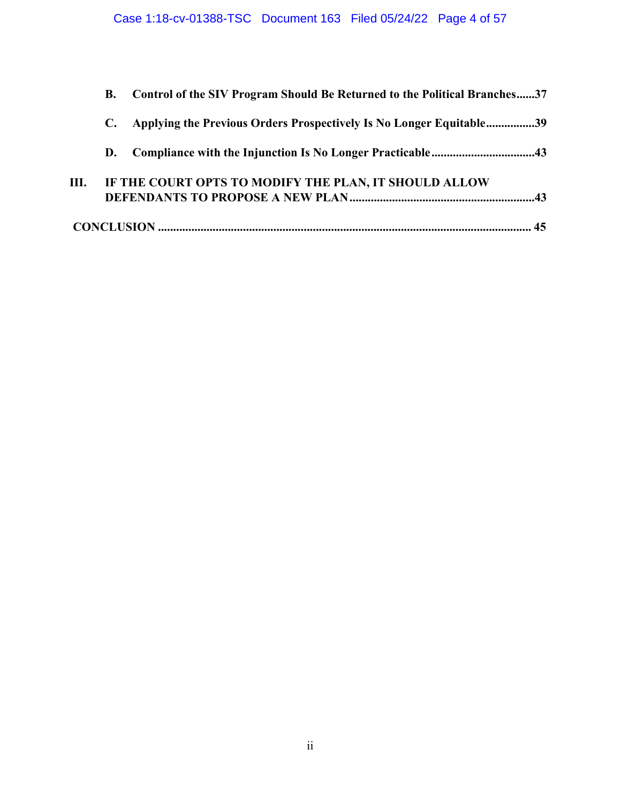|    | В. | Control of the SIV Program Should Be Returned to the Political Branches37 |  |
|----|----|---------------------------------------------------------------------------|--|
|    | С. | Applying the Previous Orders Prospectively Is No Longer Equitable39       |  |
|    | D. |                                                                           |  |
| Ш. |    | IF THE COURT OPTS TO MODIFY THE PLAN, IT SHOULD ALLOW                     |  |
|    |    |                                                                           |  |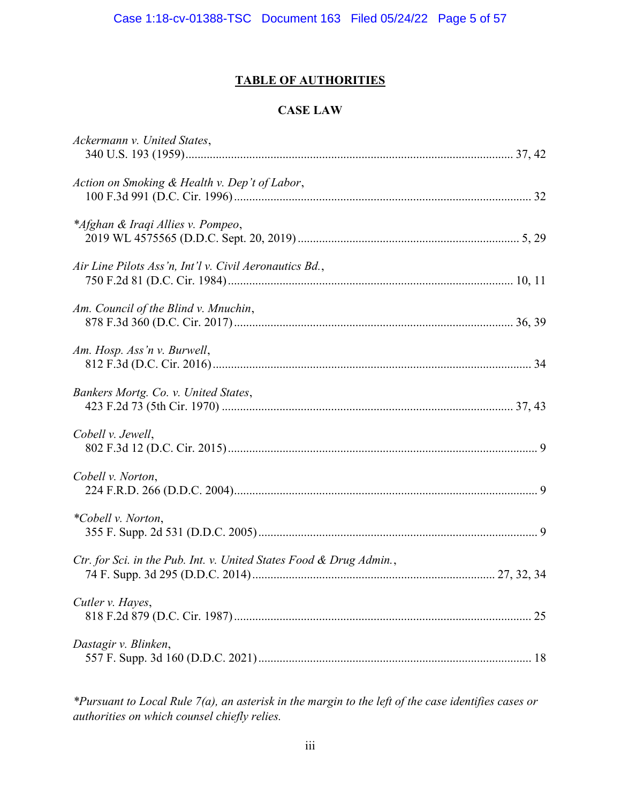# TABLE OF AUTHORITIES

### CASE LAW

| Ackermann v. United States,                                         |    |
|---------------------------------------------------------------------|----|
| Action on Smoking & Health v. Dep't of Labor,                       |    |
| *Afghan & Iraqi Allies v. Pompeo,                                   |    |
| Air Line Pilots Ass'n, Int'l v. Civil Aeronautics Bd.,              |    |
| Am. Council of the Blind v. Mnuchin,                                |    |
| Am. Hosp. Ass'n v. Burwell,                                         |    |
| Bankers Mortg. Co. v. United States,                                |    |
| Cobell v. Jewell,                                                   |    |
| Cobell v. Norton,                                                   |    |
| *Cobell v. Norton,                                                  |    |
| Ctr. for Sci. in the Pub. Int. v. United States Food & Drug Admin., |    |
| Cutler v. Hayes,                                                    | 25 |
| Dastagir v. Blinken,                                                |    |
|                                                                     |    |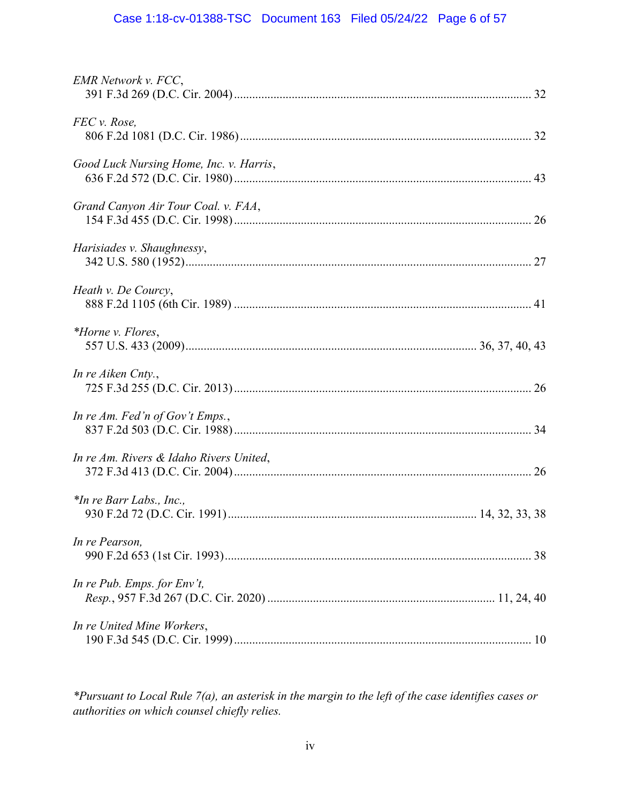# Case 1:18-cv-01388-TSC Document 163 Filed 05/24/22 Page 6 of 57

| <b>EMR</b> Network v. FCC,              |
|-----------------------------------------|
| FEC v. Rose,                            |
| Good Luck Nursing Home, Inc. v. Harris, |
| Grand Canyon Air Tour Coal. v. FAA,     |
| Harisiades v. Shaughnessy,              |
| Heath v. De Courcy,                     |
| *Horne v. Flores,                       |
| In re Aiken Cnty.,                      |
| In re Am. Fed'n of Gov't Emps.,         |
| In re Am. Rivers & Idaho Rivers United, |
| *In re Barr Labs., Inc.,                |
| In re Pearson,                          |
| In re Pub. Emps. for $Env't$ ,          |
| In re United Mine Workers,              |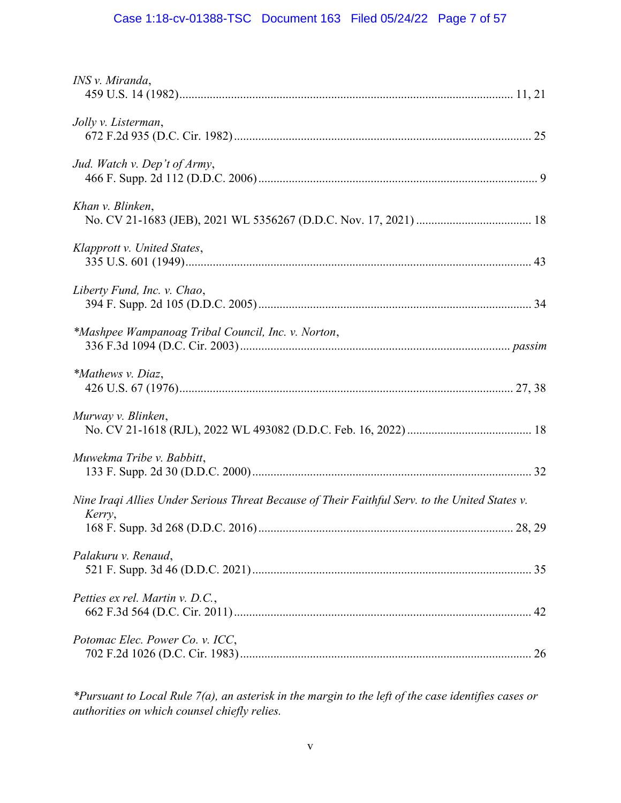# Case 1:18-cv-01388-TSC Document 163 Filed 05/24/22 Page 7 of 57

| INS v. Miranda,                                                                                          |
|----------------------------------------------------------------------------------------------------------|
| Jolly v. Listerman,                                                                                      |
| Jud. Watch v. Dep't of Army,                                                                             |
| Khan v. Blinken,                                                                                         |
| Klapprott v. United States,                                                                              |
| Liberty Fund, Inc. v. Chao,                                                                              |
| *Mashpee Wampanoag Tribal Council, Inc. v. Norton,                                                       |
| *Mathews v. Diaz,                                                                                        |
| Murway v. Blinken,                                                                                       |
| Muwekma Tribe v. Babbitt,                                                                                |
| Nine Iraqi Allies Under Serious Threat Because of Their Faithful Serv. to the United States v.<br>Kerry, |
| Palakuru v. Renaud,                                                                                      |
| Petties ex rel. Martin v. D.C.,                                                                          |
| Potomac Elec. Power Co. v. ICC,                                                                          |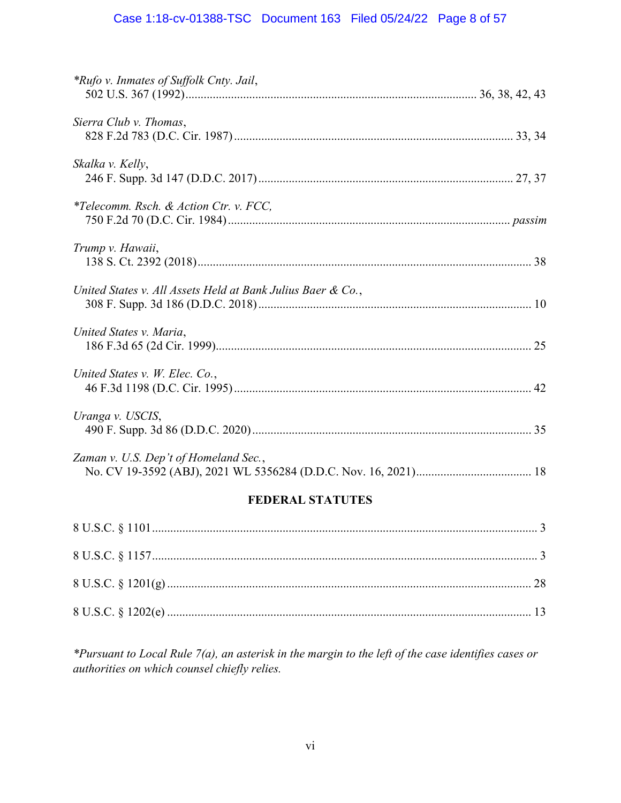# Case 1:18-cv-01388-TSC Document 163 Filed 05/24/22 Page 8 of 57

| <b>FEDERAL STATUTES</b>                                     |
|-------------------------------------------------------------|
| Zaman v. U.S. Dep't of Homeland Sec.,                       |
| Uranga v. USCIS,                                            |
| United States v. W. Elec. Co.,                              |
| United States v. Maria,                                     |
| United States v. All Assets Held at Bank Julius Baer & Co., |
| Trump v. Hawaii,                                            |
| <i>*Telecomm. Rsch. &amp; Action Ctr. v. FCC,</i>           |
| Skalka v. Kelly,                                            |
| Sierra Club v. Thomas,                                      |
| *Rufo v. Inmates of Suffolk Cnty. Jail,                     |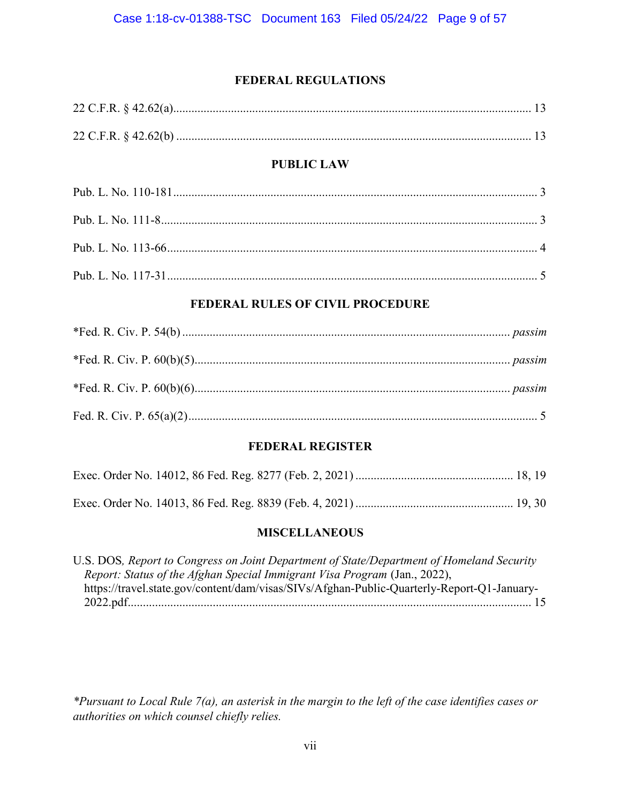## FEDERAL REGULATIONS

| <b>PUBLIC LAW</b>                       |  |  |  |
|-----------------------------------------|--|--|--|
|                                         |  |  |  |
|                                         |  |  |  |
|                                         |  |  |  |
|                                         |  |  |  |
| <b>FEDERAL RULES OF CIVIL PROCEDURE</b> |  |  |  |
|                                         |  |  |  |
|                                         |  |  |  |

## FEDERAL REGISTER

## MISCELLANEOUS

| U.S. DOS, Report to Congress on Joint Department of State/Department of Homeland Security  |  |
|--------------------------------------------------------------------------------------------|--|
| Report: Status of the Afghan Special Immigrant Visa Program (Jan., 2022),                  |  |
| https://travel.state.gov/content/dam/visas/SIVs/Afghan-Public-Quarterly-Report-Q1-January- |  |
|                                                                                            |  |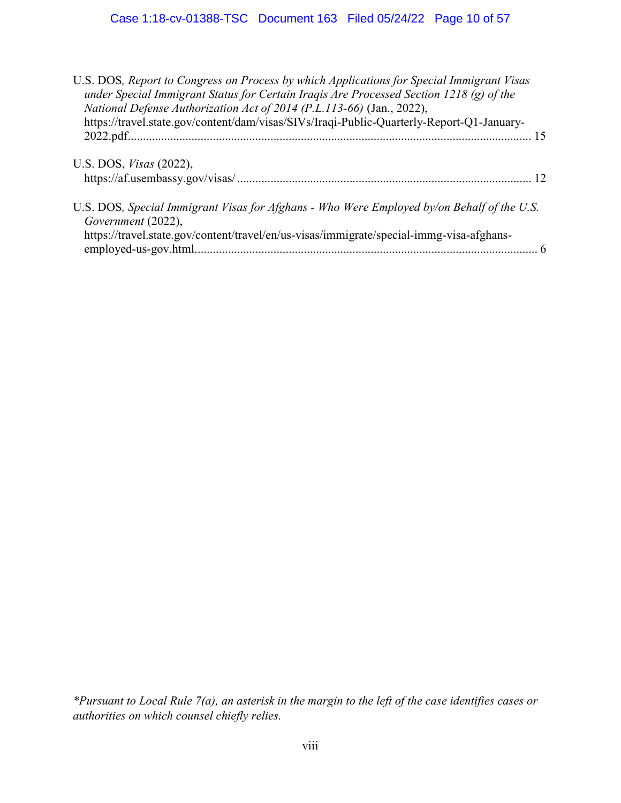| U.S. DOS, Report to Congress on Process by which Applications for Special Immigrant Visas<br>under Special Immigrant Status for Certain Iraqis Are Processed Section 1218 (g) of the<br>National Defense Authorization Act of 2014 (P.L.113-66) (Jan., 2022),<br>https://travel.state.gov/content/dam/visas/SIVs/Iraqi-Public-Quarterly-Report-Q1-January- |  |
|------------------------------------------------------------------------------------------------------------------------------------------------------------------------------------------------------------------------------------------------------------------------------------------------------------------------------------------------------------|--|
|                                                                                                                                                                                                                                                                                                                                                            |  |
| U.S. DOS, <i>Visas</i> (2022),                                                                                                                                                                                                                                                                                                                             |  |
| U.S. DOS, Special Immigrant Visas for Afghans - Who Were Employed by/on Behalf of the U.S.<br>Government (2022),                                                                                                                                                                                                                                           |  |
| https://travel.state.gov/content/travel/en/us-visas/immigrate/special-immg-visa-afghans-                                                                                                                                                                                                                                                                   |  |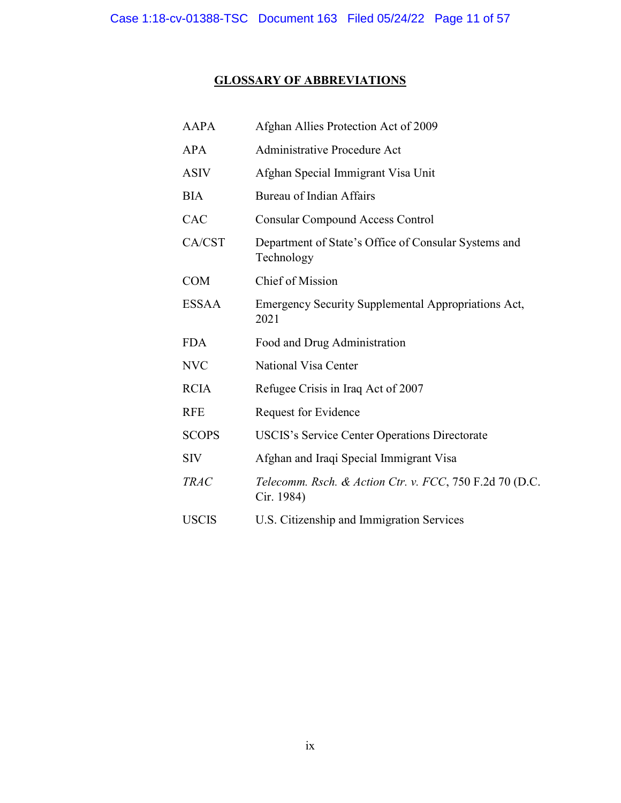# GLOSSARY OF ABBREVIATIONS

| <b>AAPA</b>  | Afghan Allies Protection Act of 2009                                  |
|--------------|-----------------------------------------------------------------------|
| <b>APA</b>   | Administrative Procedure Act                                          |
| <b>ASIV</b>  | Afghan Special Immigrant Visa Unit                                    |
| <b>BIA</b>   | Bureau of Indian Affairs                                              |
| CAC          | <b>Consular Compound Access Control</b>                               |
| CA/CST       | Department of State's Office of Consular Systems and<br>Technology    |
| <b>COM</b>   | Chief of Mission                                                      |
| <b>ESSAA</b> | Emergency Security Supplemental Appropriations Act,<br>2021           |
| <b>FDA</b>   | Food and Drug Administration                                          |
| <b>NVC</b>   | National Visa Center                                                  |
| <b>RCIA</b>  | Refugee Crisis in Iraq Act of 2007                                    |
| <b>RFE</b>   | Request for Evidence                                                  |
| <b>SCOPS</b> | <b>USCIS's Service Center Operations Directorate</b>                  |
| <b>SIV</b>   | Afghan and Iraqi Special Immigrant Visa                               |
| <b>TRAC</b>  | Telecomm. Rsch. & Action Ctr. v. FCC, 750 F.2d 70 (D.C.<br>Cir. 1984) |
| <b>USCIS</b> | U.S. Citizenship and Immigration Services                             |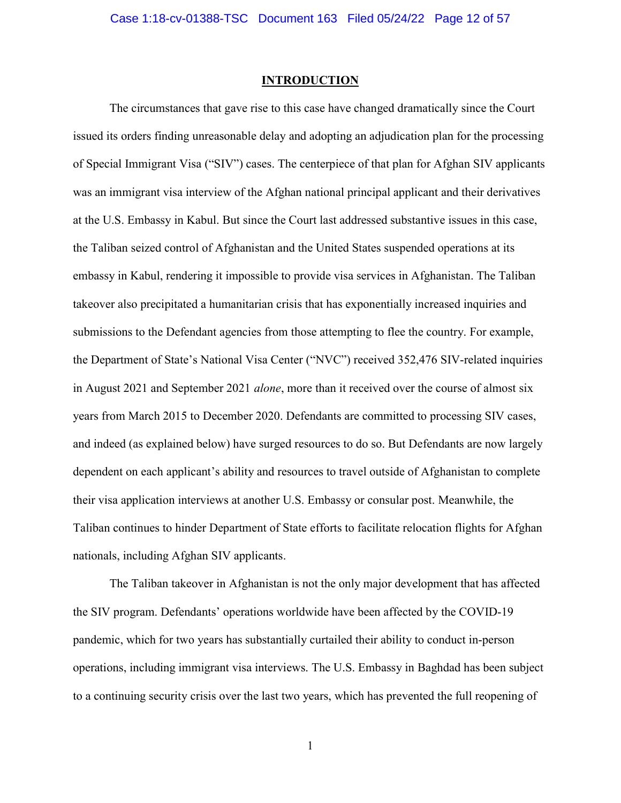#### INTRODUCTION

The circumstances that gave rise to this case have changed dramatically since the Court issued its orders finding unreasonable delay and adopting an adjudication plan for the processing of Special Immigrant Visa ("SIV") cases. The centerpiece of that plan for Afghan SIV applicants was an immigrant visa interview of the Afghan national principal applicant and their derivatives at the U.S. Embassy in Kabul. But since the Court last addressed substantive issues in this case, the Taliban seized control of Afghanistan and the United States suspended operations at its embassy in Kabul, rendering it impossible to provide visa services in Afghanistan. The Taliban takeover also precipitated a humanitarian crisis that has exponentially increased inquiries and submissions to the Defendant agencies from those attempting to flee the country. For example, the Department of State's National Visa Center ("NVC") received 352,476 SIV-related inquiries in August 2021 and September 2021 alone, more than it received over the course of almost six years from March 2015 to December 2020. Defendants are committed to processing SIV cases, and indeed (as explained below) have surged resources to do so. But Defendants are now largely dependent on each applicant's ability and resources to travel outside of Afghanistan to complete their visa application interviews at another U.S. Embassy or consular post. Meanwhile, the Taliban continues to hinder Department of State efforts to facilitate relocation flights for Afghan nationals, including Afghan SIV applicants.

The Taliban takeover in Afghanistan is not the only major development that has affected the SIV program. Defendants' operations worldwide have been affected by the COVID-19 pandemic, which for two years has substantially curtailed their ability to conduct in-person operations, including immigrant visa interviews. The U.S. Embassy in Baghdad has been subject to a continuing security crisis over the last two years, which has prevented the full reopening of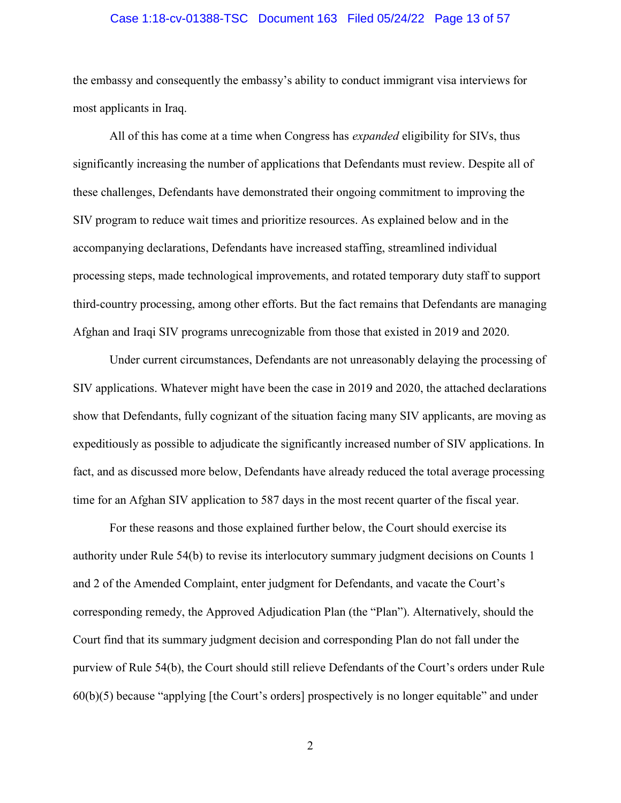#### Case 1:18-cv-01388-TSC Document 163 Filed 05/24/22 Page 13 of 57

the embassy and consequently the embassy's ability to conduct immigrant visa interviews for most applicants in Iraq.

All of this has come at a time when Congress has *expanded* eligibility for SIVs, thus significantly increasing the number of applications that Defendants must review. Despite all of these challenges, Defendants have demonstrated their ongoing commitment to improving the SIV program to reduce wait times and prioritize resources. As explained below and in the accompanying declarations, Defendants have increased staffing, streamlined individual processing steps, made technological improvements, and rotated temporary duty staff to support third-country processing, among other efforts. But the fact remains that Defendants are managing Afghan and Iraqi SIV programs unrecognizable from those that existed in 2019 and 2020.

Under current circumstances, Defendants are not unreasonably delaying the processing of SIV applications. Whatever might have been the case in 2019 and 2020, the attached declarations show that Defendants, fully cognizant of the situation facing many SIV applicants, are moving as expeditiously as possible to adjudicate the significantly increased number of SIV applications. In fact, and as discussed more below, Defendants have already reduced the total average processing time for an Afghan SIV application to 587 days in the most recent quarter of the fiscal year.

For these reasons and those explained further below, the Court should exercise its authority under Rule 54(b) to revise its interlocutory summary judgment decisions on Counts 1 and 2 of the Amended Complaint, enter judgment for Defendants, and vacate the Court's corresponding remedy, the Approved Adjudication Plan (the "Plan"). Alternatively, should the Court find that its summary judgment decision and corresponding Plan do not fall under the purview of Rule 54(b), the Court should still relieve Defendants of the Court's orders under Rule 60(b)(5) because "applying [the Court's orders] prospectively is no longer equitable" and under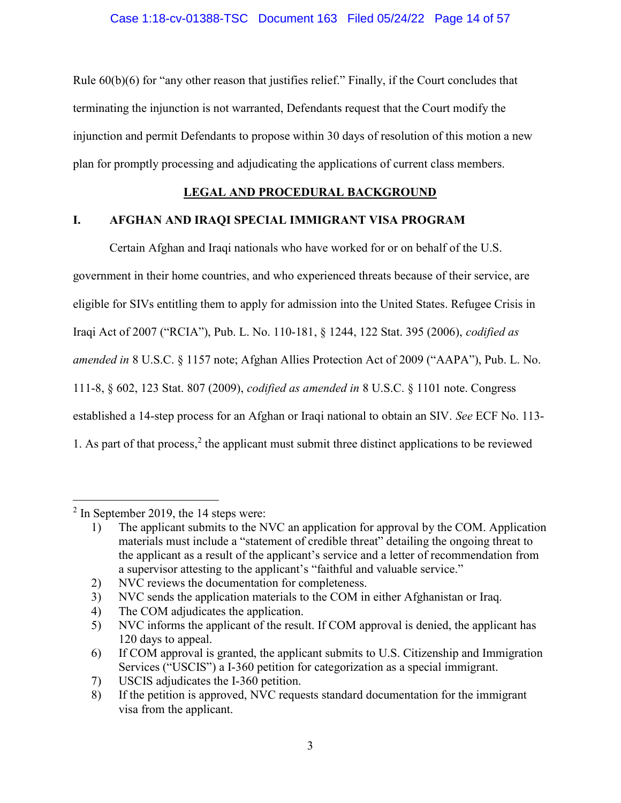Rule 60(b)(6) for "any other reason that justifies relief." Finally, if the Court concludes that terminating the injunction is not warranted, Defendants request that the Court modify the injunction and permit Defendants to propose within 30 days of resolution of this motion a new plan for promptly processing and adjudicating the applications of current class members.

# LEGAL AND PROCEDURAL BACKGROUND

# I. AFGHAN AND IRAQI SPECIAL IMMIGRANT VISA PROGRAM

Certain Afghan and Iraqi nationals who have worked for or on behalf of the U.S. government in their home countries, and who experienced threats because of their service, are eligible for SIVs entitling them to apply for admission into the United States. Refugee Crisis in Iraqi Act of 2007 ("RCIA"), Pub. L. No. 110-181, § 1244, 122 Stat. 395 (2006), codified as amended in 8 U.S.C. § 1157 note; Afghan Allies Protection Act of 2009 ("AAPA"), Pub. L. No. 111-8, § 602, 123 Stat. 807 (2009), codified as amended in 8 U.S.C. § 1101 note. Congress established a 14-step process for an Afghan or Iraqi national to obtain an SIV. See ECF No. 113- 1. As part of that process,<sup>2</sup> the applicant must submit three distinct applications to be reviewed

 $\overline{a}$ 

4) The COM adjudicates the application.

 $2$  In September 2019, the 14 steps were:

<sup>1)</sup> The applicant submits to the NVC an application for approval by the COM. Application materials must include a "statement of credible threat" detailing the ongoing threat to the applicant as a result of the applicant's service and a letter of recommendation from a supervisor attesting to the applicant's "faithful and valuable service."

<sup>2)</sup> NVC reviews the documentation for completeness.

<sup>3)</sup> NVC sends the application materials to the COM in either Afghanistan or Iraq.

<sup>5)</sup> NVC informs the applicant of the result. If COM approval is denied, the applicant has 120 days to appeal.

<sup>6)</sup> If COM approval is granted, the applicant submits to U.S. Citizenship and Immigration Services ("USCIS") a I-360 petition for categorization as a special immigrant.

<sup>7)</sup> USCIS adjudicates the I-360 petition.

<sup>8)</sup> If the petition is approved, NVC requests standard documentation for the immigrant visa from the applicant.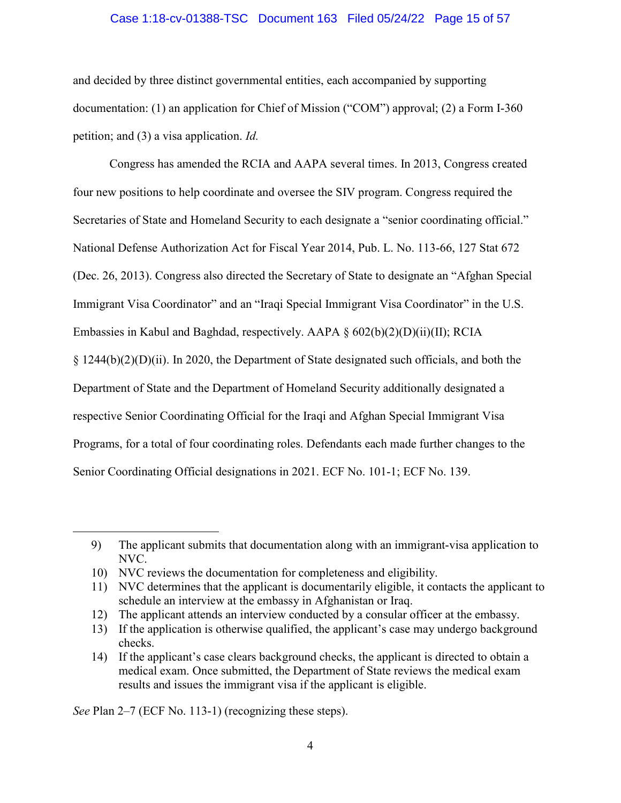#### Case 1:18-cv-01388-TSC Document 163 Filed 05/24/22 Page 15 of 57

and decided by three distinct governmental entities, each accompanied by supporting documentation: (1) an application for Chief of Mission ("COM") approval; (2) a Form I-360 petition; and (3) a visa application. Id.

Congress has amended the RCIA and AAPA several times. In 2013, Congress created four new positions to help coordinate and oversee the SIV program. Congress required the Secretaries of State and Homeland Security to each designate a "senior coordinating official." National Defense Authorization Act for Fiscal Year 2014, Pub. L. No. 113-66, 127 Stat 672 (Dec. 26, 2013). Congress also directed the Secretary of State to designate an "Afghan Special Immigrant Visa Coordinator" and an "Iraqi Special Immigrant Visa Coordinator" in the U.S. Embassies in Kabul and Baghdad, respectively. AAPA § 602(b)(2)(D)(ii)(II); RCIA § 1244(b)(2)(D)(ii). In 2020, the Department of State designated such officials, and both the Department of State and the Department of Homeland Security additionally designated a respective Senior Coordinating Official for the Iraqi and Afghan Special Immigrant Visa Programs, for a total of four coordinating roles. Defendants each made further changes to the Senior Coordinating Official designations in 2021. ECF No. 101-1; ECF No. 139.

See Plan 2–7 (ECF No. 113-1) (recognizing these steps).

 $\overline{a}$ 

<sup>9)</sup> The applicant submits that documentation along with an immigrant-visa application to NVC.

<sup>10)</sup> NVC reviews the documentation for completeness and eligibility.

<sup>11)</sup> NVC determines that the applicant is documentarily eligible, it contacts the applicant to schedule an interview at the embassy in Afghanistan or Iraq.

<sup>12)</sup> The applicant attends an interview conducted by a consular officer at the embassy.

<sup>13)</sup> If the application is otherwise qualified, the applicant's case may undergo background checks.

<sup>14)</sup> If the applicant's case clears background checks, the applicant is directed to obtain a medical exam. Once submitted, the Department of State reviews the medical exam results and issues the immigrant visa if the applicant is eligible.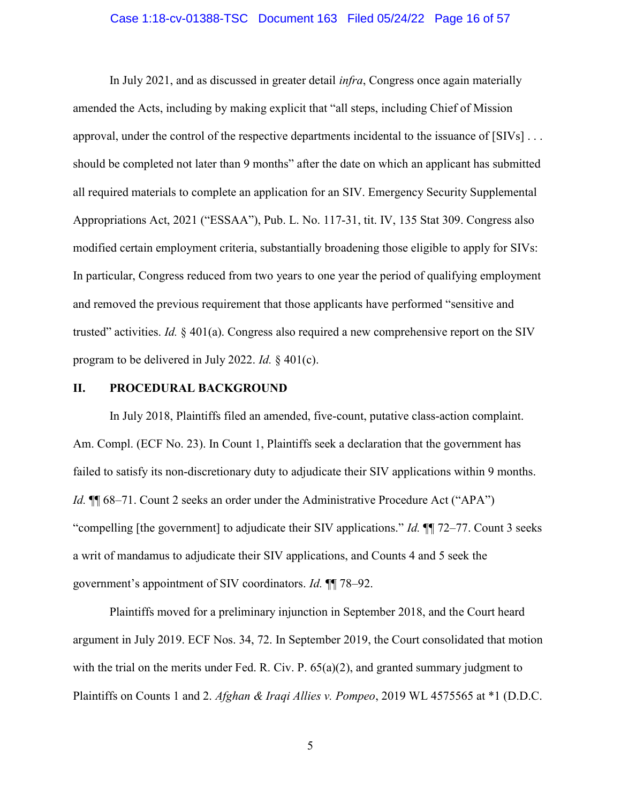#### Case 1:18-cv-01388-TSC Document 163 Filed 05/24/22 Page 16 of 57

In July 2021, and as discussed in greater detail *infra*, Congress once again materially amended the Acts, including by making explicit that "all steps, including Chief of Mission approval, under the control of the respective departments incidental to the issuance of [SIVs] . . . should be completed not later than 9 months" after the date on which an applicant has submitted all required materials to complete an application for an SIV. Emergency Security Supplemental Appropriations Act, 2021 ("ESSAA"), Pub. L. No. 117-31, tit. IV, 135 Stat 309. Congress also modified certain employment criteria, substantially broadening those eligible to apply for SIVs: In particular, Congress reduced from two years to one year the period of qualifying employment and removed the previous requirement that those applicants have performed "sensitive and trusted" activities. Id.  $\S 401(a)$ . Congress also required a new comprehensive report on the SIV program to be delivered in July 2022. Id. § 401(c).

#### II. PROCEDURAL BACKGROUND

In July 2018, Plaintiffs filed an amended, five-count, putative class-action complaint. Am. Compl. (ECF No. 23). In Count 1, Plaintiffs seek a declaration that the government has failed to satisfy its non-discretionary duty to adjudicate their SIV applications within 9 months. Id. ¶¶ 68–71. Count 2 seeks an order under the Administrative Procedure Act ("APA") "compelling [the government] to adjudicate their SIV applications." *Id.*  $\P$  72–77. Count 3 seeks a writ of mandamus to adjudicate their SIV applications, and Counts 4 and 5 seek the government's appointment of SIV coordinators. Id. ¶¶ 78–92.

Plaintiffs moved for a preliminary injunction in September 2018, and the Court heard argument in July 2019. ECF Nos. 34, 72. In September 2019, the Court consolidated that motion with the trial on the merits under Fed. R. Civ. P. 65(a)(2), and granted summary judgment to Plaintiffs on Counts 1 and 2. Afghan & Iraqi Allies v. Pompeo, 2019 WL 4575565 at \*1 (D.D.C.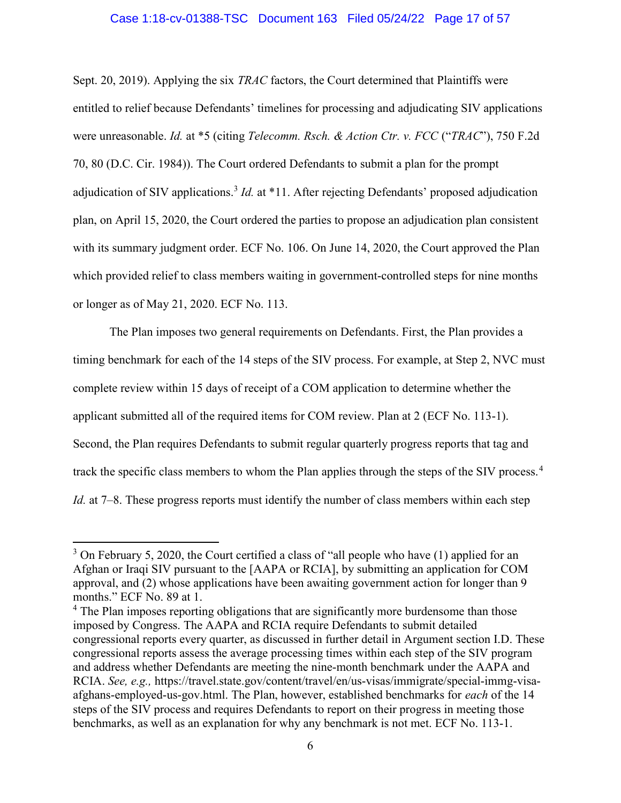#### Case 1:18-cv-01388-TSC Document 163 Filed 05/24/22 Page 17 of 57

Sept. 20, 2019). Applying the six *TRAC* factors, the Court determined that Plaintiffs were entitled to relief because Defendants' timelines for processing and adjudicating SIV applications were unreasonable. Id. at \*5 (citing Telecomm. Rsch. & Action Ctr. v. FCC ("TRAC"), 750 F.2d 70, 80 (D.C. Cir. 1984)). The Court ordered Defendants to submit a plan for the prompt adjudication of SIV applications.<sup>3</sup> *Id.* at \*11. After rejecting Defendants' proposed adjudication plan, on April 15, 2020, the Court ordered the parties to propose an adjudication plan consistent with its summary judgment order. ECF No. 106. On June 14, 2020, the Court approved the Plan which provided relief to class members waiting in government-controlled steps for nine months or longer as of May 21, 2020. ECF No. 113.

The Plan imposes two general requirements on Defendants. First, the Plan provides a timing benchmark for each of the 14 steps of the SIV process. For example, at Step 2, NVC must complete review within 15 days of receipt of a COM application to determine whether the applicant submitted all of the required items for COM review. Plan at 2 (ECF No. 113-1). Second, the Plan requires Defendants to submit regular quarterly progress reports that tag and track the specific class members to whom the Plan applies through the steps of the SIV process.<sup>4</sup> Id. at 7–8. These progress reports must identify the number of class members within each step

 $\overline{a}$ 

 $3$  On February 5, 2020, the Court certified a class of "all people who have (1) applied for an Afghan or Iraqi SIV pursuant to the [AAPA or RCIA], by submitting an application for COM approval, and (2) whose applications have been awaiting government action for longer than 9 months." ECF No. 89 at 1.

<sup>&</sup>lt;sup>4</sup> The Plan imposes reporting obligations that are significantly more burdensome than those imposed by Congress. The AAPA and RCIA require Defendants to submit detailed congressional reports every quarter, as discussed in further detail in Argument section I.D. These congressional reports assess the average processing times within each step of the SIV program and address whether Defendants are meeting the nine-month benchmark under the AAPA and RCIA. See, e.g., https://travel.state.gov/content/travel/en/us-visas/immigrate/special-immg-visaafghans-employed-us-gov.html. The Plan, however, established benchmarks for each of the 14 steps of the SIV process and requires Defendants to report on their progress in meeting those benchmarks, as well as an explanation for why any benchmark is not met. ECF No. 113-1.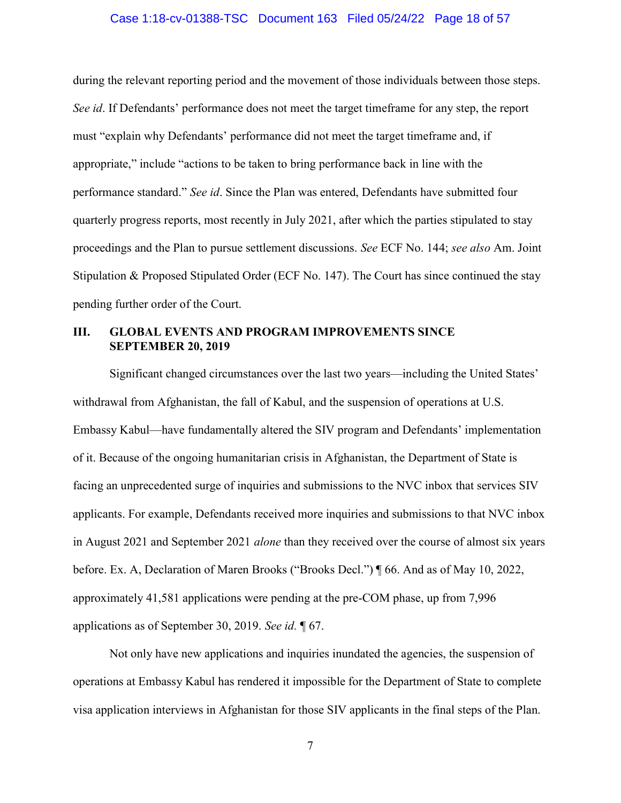#### Case 1:18-cv-01388-TSC Document 163 Filed 05/24/22 Page 18 of 57

during the relevant reporting period and the movement of those individuals between those steps. See id. If Defendants' performance does not meet the target timeframe for any step, the report must "explain why Defendants' performance did not meet the target timeframe and, if appropriate," include "actions to be taken to bring performance back in line with the performance standard." See id. Since the Plan was entered, Defendants have submitted four quarterly progress reports, most recently in July 2021, after which the parties stipulated to stay proceedings and the Plan to pursue settlement discussions. See ECF No. 144; see also Am. Joint Stipulation & Proposed Stipulated Order (ECF No. 147). The Court has since continued the stay pending further order of the Court.

### III. GLOBAL EVENTS AND PROGRAM IMPROVEMENTS SINCE SEPTEMBER 20, 2019

Significant changed circumstances over the last two years—including the United States' withdrawal from Afghanistan, the fall of Kabul, and the suspension of operations at U.S. Embassy Kabul—have fundamentally altered the SIV program and Defendants' implementation of it. Because of the ongoing humanitarian crisis in Afghanistan, the Department of State is facing an unprecedented surge of inquiries and submissions to the NVC inbox that services SIV applicants. For example, Defendants received more inquiries and submissions to that NVC inbox in August 2021 and September 2021 alone than they received over the course of almost six years before. Ex. A, Declaration of Maren Brooks ("Brooks Decl.") ¶ 66. And as of May 10, 2022, approximately 41,581 applications were pending at the pre-COM phase, up from 7,996 applications as of September 30, 2019. See id. ¶ 67.

Not only have new applications and inquiries inundated the agencies, the suspension of operations at Embassy Kabul has rendered it impossible for the Department of State to complete visa application interviews in Afghanistan for those SIV applicants in the final steps of the Plan.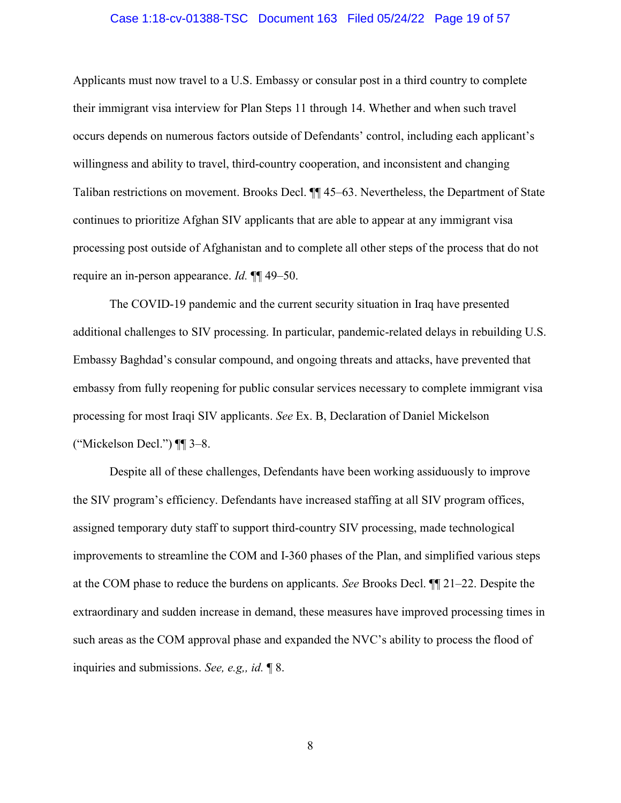#### Case 1:18-cv-01388-TSC Document 163 Filed 05/24/22 Page 19 of 57

Applicants must now travel to a U.S. Embassy or consular post in a third country to complete their immigrant visa interview for Plan Steps 11 through 14. Whether and when such travel occurs depends on numerous factors outside of Defendants' control, including each applicant's willingness and ability to travel, third-country cooperation, and inconsistent and changing Taliban restrictions on movement. Brooks Decl. ¶¶ 45–63. Nevertheless, the Department of State continues to prioritize Afghan SIV applicants that are able to appear at any immigrant visa processing post outside of Afghanistan and to complete all other steps of the process that do not require an in-person appearance. Id. ¶¶ 49–50.

The COVID-19 pandemic and the current security situation in Iraq have presented additional challenges to SIV processing. In particular, pandemic-related delays in rebuilding U.S. Embassy Baghdad's consular compound, and ongoing threats and attacks, have prevented that embassy from fully reopening for public consular services necessary to complete immigrant visa processing for most Iraqi SIV applicants. See Ex. B, Declaration of Daniel Mickelson ("Mickelson Decl.")  $\P$ [ $\le$  3–8.

Despite all of these challenges, Defendants have been working assiduously to improve the SIV program's efficiency. Defendants have increased staffing at all SIV program offices, assigned temporary duty staff to support third-country SIV processing, made technological improvements to streamline the COM and I-360 phases of the Plan, and simplified various steps at the COM phase to reduce the burdens on applicants. See Brooks Decl. ¶¶ 21–22. Despite the extraordinary and sudden increase in demand, these measures have improved processing times in such areas as the COM approval phase and expanded the NVC's ability to process the flood of inquiries and submissions. See, e.g,, id. ¶ 8.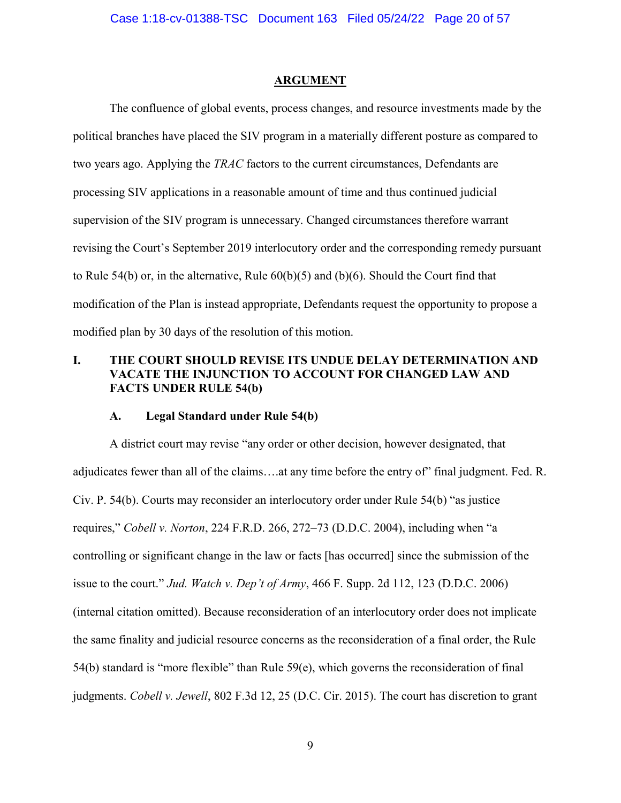#### ARGUMENT

The confluence of global events, process changes, and resource investments made by the political branches have placed the SIV program in a materially different posture as compared to two years ago. Applying the TRAC factors to the current circumstances, Defendants are processing SIV applications in a reasonable amount of time and thus continued judicial supervision of the SIV program is unnecessary. Changed circumstances therefore warrant revising the Court's September 2019 interlocutory order and the corresponding remedy pursuant to Rule 54(b) or, in the alternative, Rule 60(b)(5) and (b)(6). Should the Court find that modification of the Plan is instead appropriate, Defendants request the opportunity to propose a modified plan by 30 days of the resolution of this motion.

## I. THE COURT SHOULD REVISE ITS UNDUE DELAY DETERMINATION AND VACATE THE INJUNCTION TO ACCOUNT FOR CHANGED LAW AND FACTS UNDER RULE 54(b)

#### A. Legal Standard under Rule 54(b)

A district court may revise "any order or other decision, however designated, that adjudicates fewer than all of the claims….at any time before the entry of" final judgment. Fed. R. Civ. P. 54(b). Courts may reconsider an interlocutory order under Rule 54(b) "as justice requires," Cobell v. Norton, 224 F.R.D. 266, 272–73 (D.D.C. 2004), including when "a controlling or significant change in the law or facts [has occurred] since the submission of the issue to the court." Jud. Watch v. Dep't of Army, 466 F. Supp. 2d 112, 123 (D.D.C. 2006) (internal citation omitted). Because reconsideration of an interlocutory order does not implicate the same finality and judicial resource concerns as the reconsideration of a final order, the Rule 54(b) standard is "more flexible" than Rule 59(e), which governs the reconsideration of final judgments. Cobell v. Jewell, 802 F.3d 12, 25 (D.C. Cir. 2015). The court has discretion to grant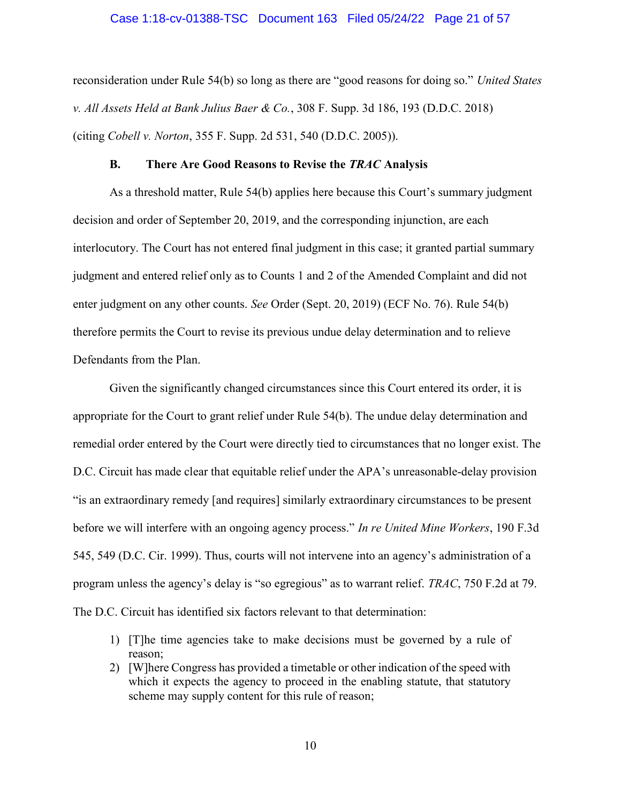#### Case 1:18-cv-01388-TSC Document 163 Filed 05/24/22 Page 21 of 57

reconsideration under Rule 54(b) so long as there are "good reasons for doing so." United States v. All Assets Held at Bank Julius Baer & Co., 308 F. Supp. 3d 186, 193 (D.D.C. 2018) (citing Cobell v. Norton, 355 F. Supp. 2d 531, 540 (D.D.C. 2005)).

#### B. There Are Good Reasons to Revise the TRAC Analysis

As a threshold matter, Rule 54(b) applies here because this Court's summary judgment decision and order of September 20, 2019, and the corresponding injunction, are each interlocutory. The Court has not entered final judgment in this case; it granted partial summary judgment and entered relief only as to Counts 1 and 2 of the Amended Complaint and did not enter judgment on any other counts. See Order (Sept. 20, 2019) (ECF No. 76). Rule 54(b) therefore permits the Court to revise its previous undue delay determination and to relieve Defendants from the Plan.

Given the significantly changed circumstances since this Court entered its order, it is appropriate for the Court to grant relief under Rule 54(b). The undue delay determination and remedial order entered by the Court were directly tied to circumstances that no longer exist. The D.C. Circuit has made clear that equitable relief under the APA's unreasonable-delay provision "is an extraordinary remedy [and requires] similarly extraordinary circumstances to be present before we will interfere with an ongoing agency process." In re United Mine Workers, 190 F.3d 545, 549 (D.C. Cir. 1999). Thus, courts will not intervene into an agency's administration of a program unless the agency's delay is "so egregious" as to warrant relief. TRAC, 750 F.2d at 79. The D.C. Circuit has identified six factors relevant to that determination:

- 1) [T]he time agencies take to make decisions must be governed by a rule of reason;
- 2) [W]here Congress has provided a timetable or other indication of the speed with which it expects the agency to proceed in the enabling statute, that statutory scheme may supply content for this rule of reason;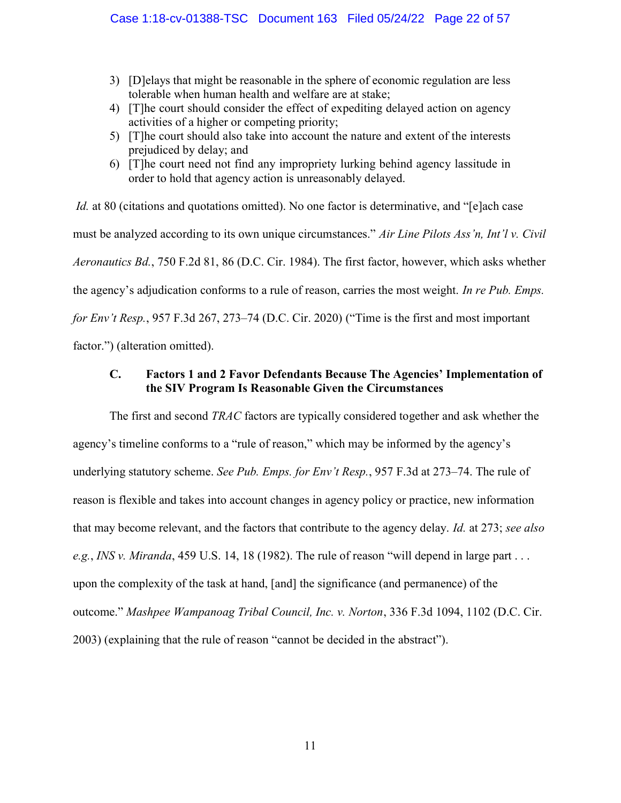- 3) [D]elays that might be reasonable in the sphere of economic regulation are less tolerable when human health and welfare are at stake;
- 4) [T]he court should consider the effect of expediting delayed action on agency activities of a higher or competing priority;
- 5) [T]he court should also take into account the nature and extent of the interests prejudiced by delay; and
- 6) [T]he court need not find any impropriety lurking behind agency lassitude in order to hold that agency action is unreasonably delayed.

Id. at 80 (citations and quotations omitted). No one factor is determinative, and "[e]ach case must be analyzed according to its own unique circumstances." Air Line Pilots Ass'n, Int'l v. Civil Aeronautics Bd., 750 F.2d 81, 86 (D.C. Cir. 1984). The first factor, however, which asks whether the agency's adjudication conforms to a rule of reason, carries the most weight. In re Pub. Emps. for Env't Resp., 957 F.3d 267, 273–74 (D.C. Cir. 2020) ("Time is the first and most important factor.") (alteration omitted).

## C. Factors 1 and 2 Favor Defendants Because The Agencies' Implementation of the SIV Program Is Reasonable Given the Circumstances

The first and second *TRAC* factors are typically considered together and ask whether the agency's timeline conforms to a "rule of reason," which may be informed by the agency's underlying statutory scheme. See Pub. Emps. for Env't Resp., 957 F.3d at 273-74. The rule of reason is flexible and takes into account changes in agency policy or practice, new information that may become relevant, and the factors that contribute to the agency delay. Id. at 273; see also e.g., INS v. Miranda, 459 U.S. 14, 18 (1982). The rule of reason "will depend in large part ... upon the complexity of the task at hand, [and] the significance (and permanence) of the outcome." Mashpee Wampanoag Tribal Council, Inc. v. Norton, 336 F.3d 1094, 1102 (D.C. Cir. 2003) (explaining that the rule of reason "cannot be decided in the abstract").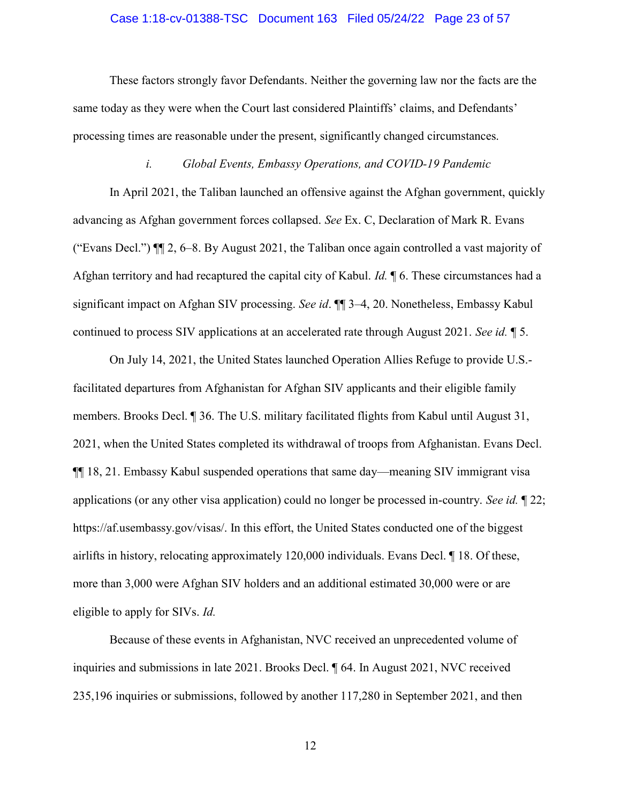#### Case 1:18-cv-01388-TSC Document 163 Filed 05/24/22 Page 23 of 57

These factors strongly favor Defendants. Neither the governing law nor the facts are the same today as they were when the Court last considered Plaintiffs' claims, and Defendants' processing times are reasonable under the present, significantly changed circumstances.

### i. Global Events, Embassy Operations, and COVID-19 Pandemic

In April 2021, the Taliban launched an offensive against the Afghan government, quickly advancing as Afghan government forces collapsed. See Ex. C, Declaration of Mark R. Evans ("Evans Decl.") ¶¶ 2, 6–8. By August 2021, the Taliban once again controlled a vast majority of Afghan territory and had recaptured the capital city of Kabul. *Id.* 16. These circumstances had a significant impact on Afghan SIV processing. See id. ¶¶ 3–4, 20. Nonetheless, Embassy Kabul continued to process SIV applications at an accelerated rate through August 2021. See id. ¶ 5.

On July 14, 2021, the United States launched Operation Allies Refuge to provide U.S. facilitated departures from Afghanistan for Afghan SIV applicants and their eligible family members. Brooks Decl. ¶ 36. The U.S. military facilitated flights from Kabul until August 31, 2021, when the United States completed its withdrawal of troops from Afghanistan. Evans Decl. ¶¶ 18, 21. Embassy Kabul suspended operations that same day—meaning SIV immigrant visa applications (or any other visa application) could no longer be processed in-country. See id. ¶ 22; https://af.usembassy.gov/visas/. In this effort, the United States conducted one of the biggest airlifts in history, relocating approximately 120,000 individuals. Evans Decl. ¶ 18. Of these, more than 3,000 were Afghan SIV holders and an additional estimated 30,000 were or are eligible to apply for SIVs. Id.

Because of these events in Afghanistan, NVC received an unprecedented volume of inquiries and submissions in late 2021. Brooks Decl. ¶ 64. In August 2021, NVC received 235,196 inquiries or submissions, followed by another 117,280 in September 2021, and then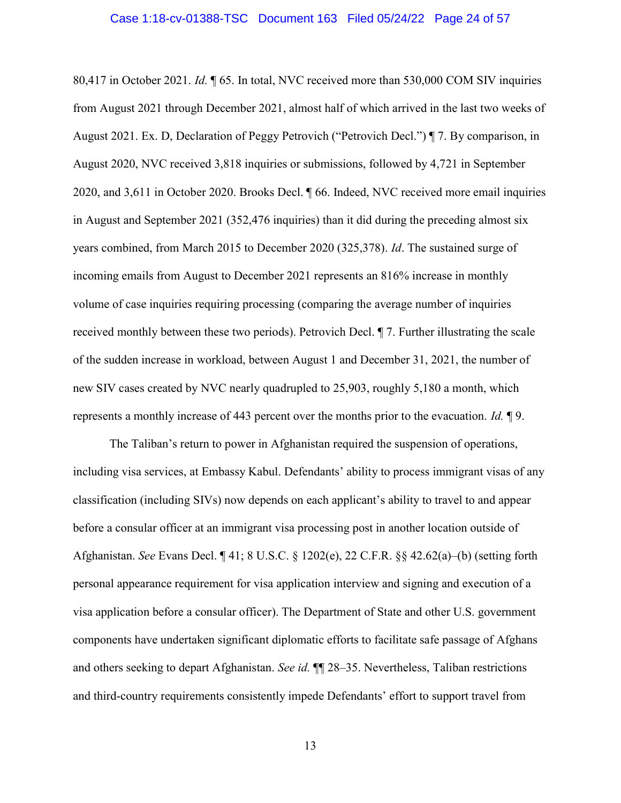80,417 in October 2021. Id. ¶ 65. In total, NVC received more than 530,000 COM SIV inquiries from August 2021 through December 2021, almost half of which arrived in the last two weeks of August 2021. Ex. D, Declaration of Peggy Petrovich ("Petrovich Decl.") ¶ 7. By comparison, in August 2020, NVC received 3,818 inquiries or submissions, followed by 4,721 in September 2020, and 3,611 in October 2020. Brooks Decl. ¶ 66. Indeed, NVC received more email inquiries in August and September 2021 (352,476 inquiries) than it did during the preceding almost six years combined, from March 2015 to December 2020 (325,378). Id. The sustained surge of incoming emails from August to December 2021 represents an 816% increase in monthly volume of case inquiries requiring processing (comparing the average number of inquiries received monthly between these two periods). Petrovich Decl. ¶ 7. Further illustrating the scale of the sudden increase in workload, between August 1 and December 31, 2021, the number of new SIV cases created by NVC nearly quadrupled to 25,903, roughly 5,180 a month, which represents a monthly increase of 443 percent over the months prior to the evacuation. Id.  $\llbracket 9$ .

The Taliban's return to power in Afghanistan required the suspension of operations, including visa services, at Embassy Kabul. Defendants' ability to process immigrant visas of any classification (including SIVs) now depends on each applicant's ability to travel to and appear before a consular officer at an immigrant visa processing post in another location outside of Afghanistan. See Evans Decl. ¶ 41; 8 U.S.C. § 1202(e), 22 C.F.R. §§ 42.62(a)–(b) (setting forth personal appearance requirement for visa application interview and signing and execution of a visa application before a consular officer). The Department of State and other U.S. government components have undertaken significant diplomatic efforts to facilitate safe passage of Afghans and others seeking to depart Afghanistan. See id.  $\P$  28–35. Nevertheless, Taliban restrictions and third-country requirements consistently impede Defendants' effort to support travel from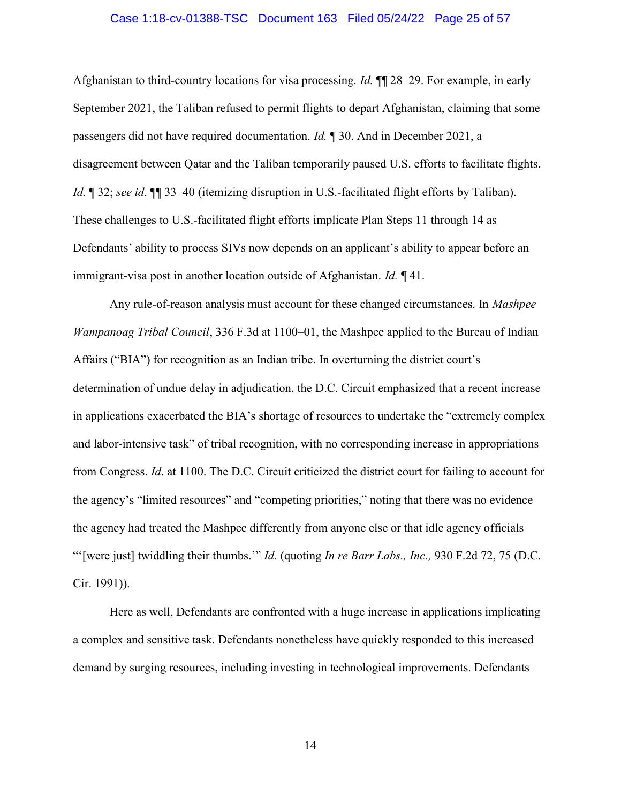#### Case 1:18-cv-01388-TSC Document 163 Filed 05/24/22 Page 25 of 57

Afghanistan to third-country locations for visa processing. Id. ¶¶ 28–29. For example, in early September 2021, the Taliban refused to permit flights to depart Afghanistan, claiming that some passengers did not have required documentation. Id. ¶ 30. And in December 2021, a disagreement between Qatar and the Taliban temporarily paused U.S. efforts to facilitate flights. Id. ¶ 32; see id. ¶ 33–40 (itemizing disruption in U.S.-facilitated flight efforts by Taliban). These challenges to U.S.-facilitated flight efforts implicate Plan Steps 11 through 14 as Defendants' ability to process SIVs now depends on an applicant's ability to appear before an immigrant-visa post in another location outside of Afghanistan. *Id.* 141.

Any rule-of-reason analysis must account for these changed circumstances. In Mashpee *Wampanoag Tribal Council,* 336 F.3d at  $1100-01$ , the Mashpee applied to the Bureau of Indian Affairs ("BIA") for recognition as an Indian tribe. In overturning the district court's determination of undue delay in adjudication, the D.C. Circuit emphasized that a recent increase in applications exacerbated the BIA's shortage of resources to undertake the "extremely complex and labor-intensive task" of tribal recognition, with no corresponding increase in appropriations from Congress. Id. at 1100. The D.C. Circuit criticized the district court for failing to account for the agency's "limited resources" and "competing priorities," noting that there was no evidence the agency had treated the Mashpee differently from anyone else or that idle agency officials "'[were just] twiddling their thumbs."" Id. (quoting In re Barr Labs., Inc., 930 F.2d 72, 75 (D.C.) Cir. 1991)).

Here as well, Defendants are confronted with a huge increase in applications implicating a complex and sensitive task. Defendants nonetheless have quickly responded to this increased demand by surging resources, including investing in technological improvements. Defendants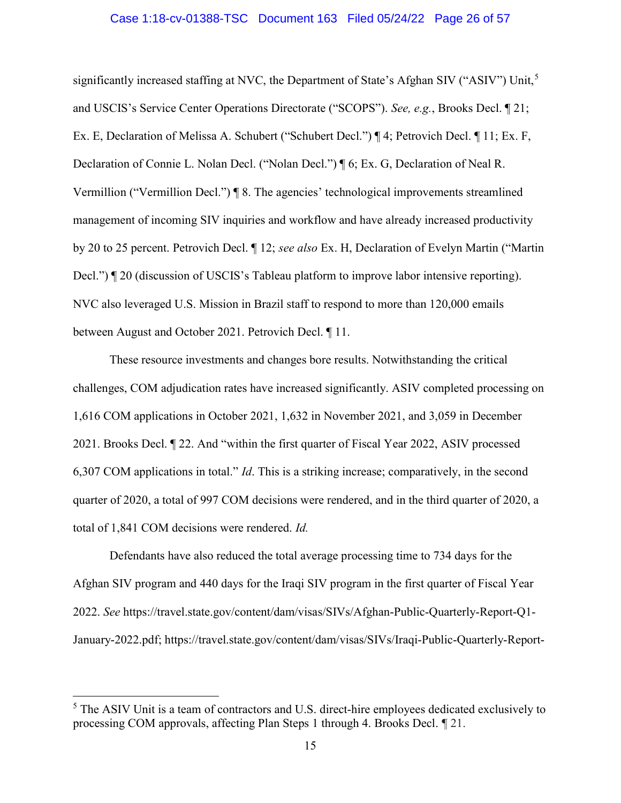#### Case 1:18-cv-01388-TSC Document 163 Filed 05/24/22 Page 26 of 57

significantly increased staffing at NVC, the Department of State's Afghan SIV ("ASIV") Unit,<sup>5</sup> and USCIS's Service Center Operations Directorate ("SCOPS"). See, e.g., Brooks Decl. ¶ 21; Ex. E, Declaration of Melissa A. Schubert ("Schubert Decl.") ¶ 4; Petrovich Decl. ¶ 11; Ex. F, Declaration of Connie L. Nolan Decl. ("Nolan Decl.") ¶ 6; Ex. G, Declaration of Neal R. Vermillion ("Vermillion Decl.") ¶ 8. The agencies' technological improvements streamlined management of incoming SIV inquiries and workflow and have already increased productivity by 20 to 25 percent. Petrovich Decl. ¶ 12; see also Ex. H, Declaration of Evelyn Martin ("Martin Decl.") ¶ 20 (discussion of USCIS's Tableau platform to improve labor intensive reporting). NVC also leveraged U.S. Mission in Brazil staff to respond to more than 120,000 emails between August and October 2021. Petrovich Decl. ¶ 11.

These resource investments and changes bore results. Notwithstanding the critical challenges, COM adjudication rates have increased significantly. ASIV completed processing on 1,616 COM applications in October 2021, 1,632 in November 2021, and 3,059 in December 2021. Brooks Decl. ¶ 22. And "within the first quarter of Fiscal Year 2022, ASIV processed 6,307 COM applications in total." Id. This is a striking increase; comparatively, in the second quarter of 2020, a total of 997 COM decisions were rendered, and in the third quarter of 2020, a total of 1,841 COM decisions were rendered. Id.

Defendants have also reduced the total average processing time to 734 days for the Afghan SIV program and 440 days for the Iraqi SIV program in the first quarter of Fiscal Year 2022. See https://travel.state.gov/content/dam/visas/SIVs/Afghan-Public-Quarterly-Report-Q1- January-2022.pdf; https://travel.state.gov/content/dam/visas/SIVs/Iraqi-Public-Quarterly-Report-

 $\overline{a}$ 

<sup>&</sup>lt;sup>5</sup> The ASIV Unit is a team of contractors and U.S. direct-hire employees dedicated exclusively to processing COM approvals, affecting Plan Steps 1 through 4. Brooks Decl. ¶ 21.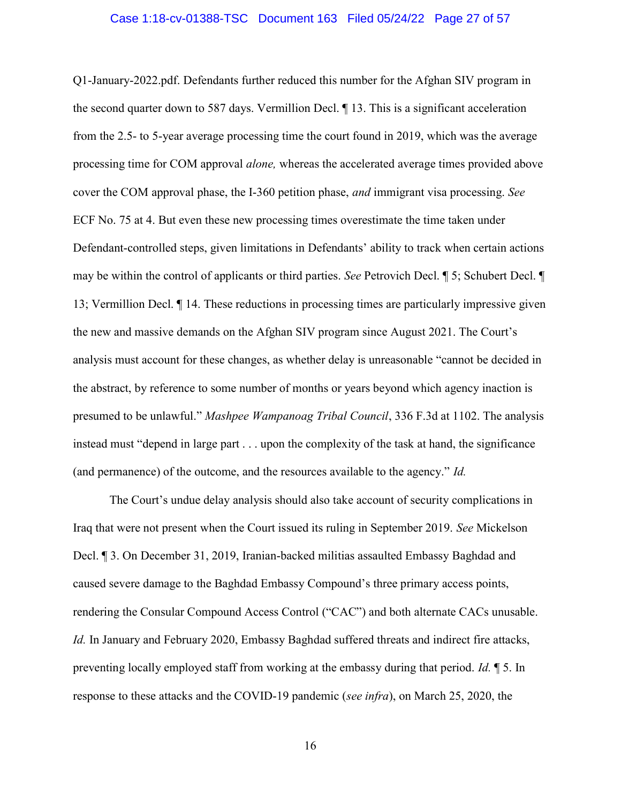#### Case 1:18-cv-01388-TSC Document 163 Filed 05/24/22 Page 27 of 57

Q1-January-2022.pdf. Defendants further reduced this number for the Afghan SIV program in the second quarter down to 587 days. Vermillion Decl. ¶ 13. This is a significant acceleration from the 2.5- to 5-year average processing time the court found in 2019, which was the average processing time for COM approval alone, whereas the accelerated average times provided above cover the COM approval phase, the I-360 petition phase, and immigrant visa processing. See ECF No. 75 at 4. But even these new processing times overestimate the time taken under Defendant-controlled steps, given limitations in Defendants' ability to track when certain actions may be within the control of applicants or third parties. See Petrovich Decl. ¶ 5; Schubert Decl. ¶ 13; Vermillion Decl. ¶ 14. These reductions in processing times are particularly impressive given the new and massive demands on the Afghan SIV program since August 2021. The Court's analysis must account for these changes, as whether delay is unreasonable "cannot be decided in the abstract, by reference to some number of months or years beyond which agency inaction is presumed to be unlawful." Mashpee Wampanoag Tribal Council, 336 F.3d at 1102. The analysis instead must "depend in large part . . . upon the complexity of the task at hand, the significance (and permanence) of the outcome, and the resources available to the agency." Id.

The Court's undue delay analysis should also take account of security complications in Iraq that were not present when the Court issued its ruling in September 2019. See Mickelson Decl. ¶ 3. On December 31, 2019, Iranian-backed militias assaulted Embassy Baghdad and caused severe damage to the Baghdad Embassy Compound's three primary access points, rendering the Consular Compound Access Control ("CAC") and both alternate CACs unusable. Id. In January and February 2020, Embassy Baghdad suffered threats and indirect fire attacks, preventing locally employed staff from working at the embassy during that period. Id. ¶ 5. In response to these attacks and the COVID-19 pandemic (see infra), on March 25, 2020, the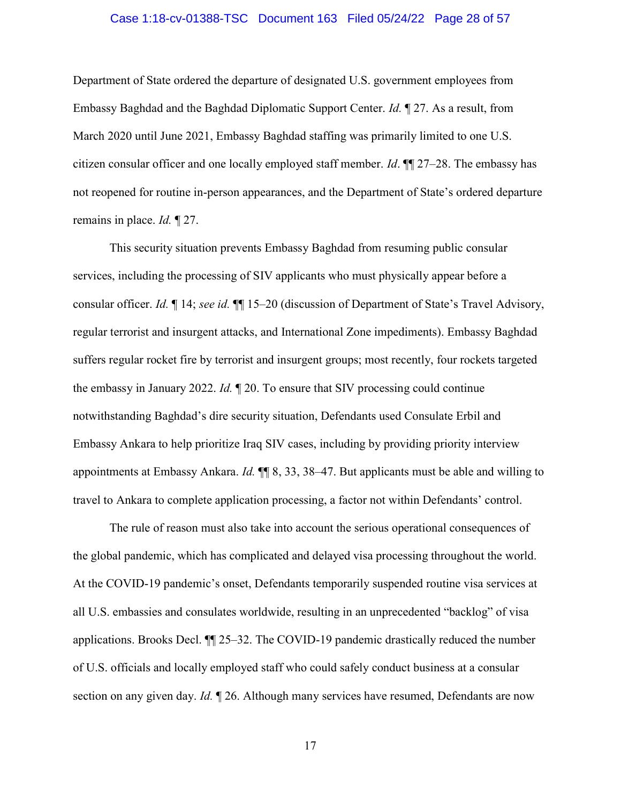#### Case 1:18-cv-01388-TSC Document 163 Filed 05/24/22 Page 28 of 57

Department of State ordered the departure of designated U.S. government employees from Embassy Baghdad and the Baghdad Diplomatic Support Center. Id. ¶ 27. As a result, from March 2020 until June 2021, Embassy Baghdad staffing was primarily limited to one U.S. citizen consular officer and one locally employed staff member. *Id*.  $\P$  27–28. The embassy has not reopened for routine in-person appearances, and the Department of State's ordered departure remains in place. *Id.* 127.

This security situation prevents Embassy Baghdad from resuming public consular services, including the processing of SIV applicants who must physically appear before a consular officer. Id. ¶ 14; see id. ¶¶ 15–20 (discussion of Department of State's Travel Advisory, regular terrorist and insurgent attacks, and International Zone impediments). Embassy Baghdad suffers regular rocket fire by terrorist and insurgent groups; most recently, four rockets targeted the embassy in January 2022. Id. ¶ 20. To ensure that SIV processing could continue notwithstanding Baghdad's dire security situation, Defendants used Consulate Erbil and Embassy Ankara to help prioritize Iraq SIV cases, including by providing priority interview appointments at Embassy Ankara. Id. ¶¶ 8, 33, 38–47. But applicants must be able and willing to travel to Ankara to complete application processing, a factor not within Defendants' control.

The rule of reason must also take into account the serious operational consequences of the global pandemic, which has complicated and delayed visa processing throughout the world. At the COVID-19 pandemic's onset, Defendants temporarily suspended routine visa services at all U.S. embassies and consulates worldwide, resulting in an unprecedented "backlog" of visa applications. Brooks Decl. ¶¶ 25–32. The COVID-19 pandemic drastically reduced the number of U.S. officials and locally employed staff who could safely conduct business at a consular section on any given day. *Id.*  $\mathbb{I}$  26. Although many services have resumed, Defendants are now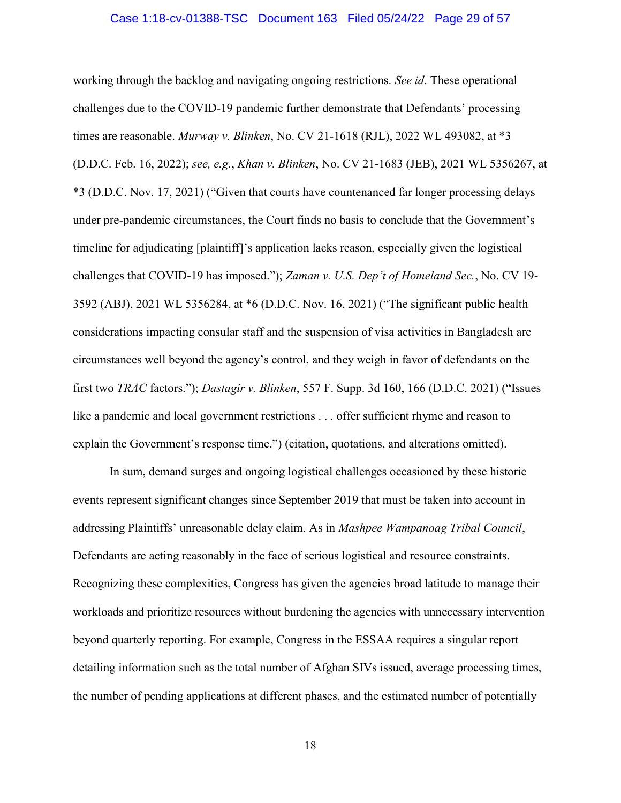#### Case 1:18-cv-01388-TSC Document 163 Filed 05/24/22 Page 29 of 57

working through the backlog and navigating ongoing restrictions. See id. These operational challenges due to the COVID-19 pandemic further demonstrate that Defendants' processing times are reasonable. Murway v. Blinken, No. CV 21-1618 (RJL), 2022 WL 493082, at \*3 (D.D.C. Feb. 16, 2022); see, e.g., Khan v. Blinken, No. CV 21-1683 (JEB), 2021 WL 5356267, at \*3 (D.D.C. Nov. 17, 2021) ("Given that courts have countenanced far longer processing delays under pre-pandemic circumstances, the Court finds no basis to conclude that the Government's timeline for adjudicating [plaintiff]'s application lacks reason, especially given the logistical challenges that COVID-19 has imposed."); Zaman v. U.S. Dep't of Homeland Sec., No. CV 19- 3592 (ABJ), 2021 WL 5356284, at \*6 (D.D.C. Nov. 16, 2021) ("The significant public health considerations impacting consular staff and the suspension of visa activities in Bangladesh are circumstances well beyond the agency's control, and they weigh in favor of defendants on the first two TRAC factors."); Dastagir v. Blinken, 557 F. Supp. 3d 160, 166 (D.D.C. 2021) ("Issues like a pandemic and local government restrictions . . . offer sufficient rhyme and reason to explain the Government's response time.") (citation, quotations, and alterations omitted).

In sum, demand surges and ongoing logistical challenges occasioned by these historic events represent significant changes since September 2019 that must be taken into account in addressing Plaintiffs' unreasonable delay claim. As in Mashpee Wampanoag Tribal Council, Defendants are acting reasonably in the face of serious logistical and resource constraints. Recognizing these complexities, Congress has given the agencies broad latitude to manage their workloads and prioritize resources without burdening the agencies with unnecessary intervention beyond quarterly reporting. For example, Congress in the ESSAA requires a singular report detailing information such as the total number of Afghan SIVs issued, average processing times, the number of pending applications at different phases, and the estimated number of potentially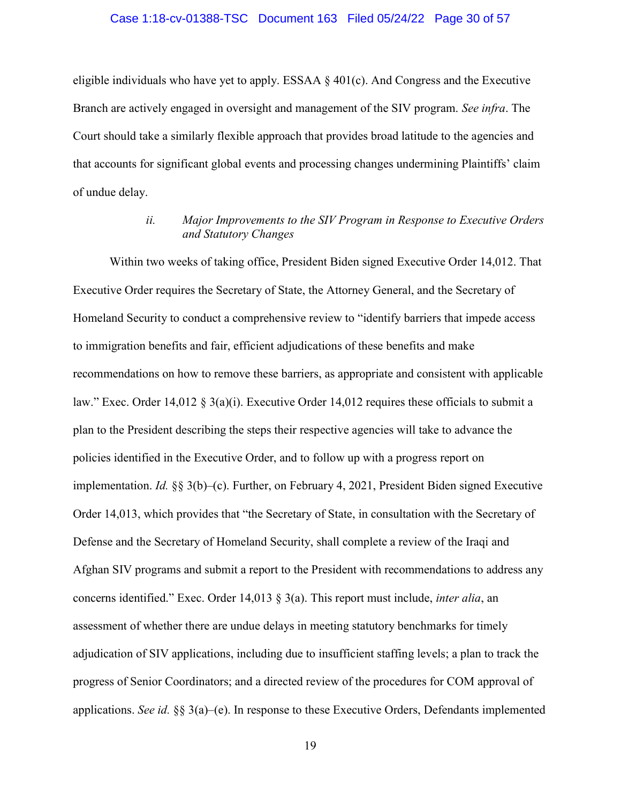#### Case 1:18-cv-01388-TSC Document 163 Filed 05/24/22 Page 30 of 57

eligible individuals who have yet to apply. ESSAA  $\S$  401(c). And Congress and the Executive Branch are actively engaged in oversight and management of the SIV program. See infra. The Court should take a similarly flexible approach that provides broad latitude to the agencies and that accounts for significant global events and processing changes undermining Plaintiffs' claim of undue delay.

### ii. Major Improvements to the SIV Program in Response to Executive Orders and Statutory Changes

Within two weeks of taking office, President Biden signed Executive Order 14,012. That Executive Order requires the Secretary of State, the Attorney General, and the Secretary of Homeland Security to conduct a comprehensive review to "identify barriers that impede access to immigration benefits and fair, efficient adjudications of these benefits and make recommendations on how to remove these barriers, as appropriate and consistent with applicable law." Exec. Order 14,012 § 3(a)(i). Executive Order 14,012 requires these officials to submit a plan to the President describing the steps their respective agencies will take to advance the policies identified in the Executive Order, and to follow up with a progress report on implementation. Id. §§ 3(b)–(c). Further, on February 4, 2021, President Biden signed Executive Order 14,013, which provides that "the Secretary of State, in consultation with the Secretary of Defense and the Secretary of Homeland Security, shall complete a review of the Iraqi and Afghan SIV programs and submit a report to the President with recommendations to address any concerns identified." Exec. Order 14,013 § 3(a). This report must include, inter alia, an assessment of whether there are undue delays in meeting statutory benchmarks for timely adjudication of SIV applications, including due to insufficient staffing levels; a plan to track the progress of Senior Coordinators; and a directed review of the procedures for COM approval of applications. See id.  $\S$  3(a)–(e). In response to these Executive Orders, Defendants implemented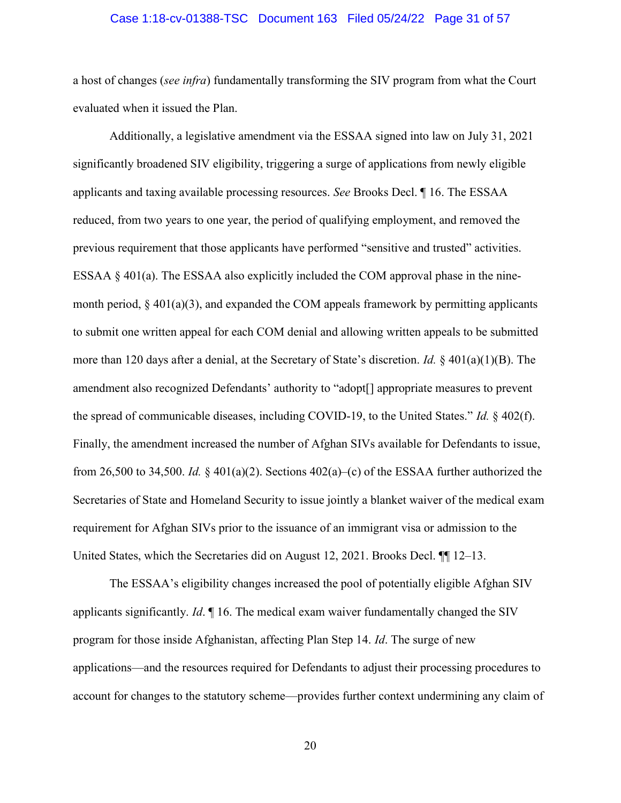#### Case 1:18-cv-01388-TSC Document 163 Filed 05/24/22 Page 31 of 57

a host of changes (see infra) fundamentally transforming the SIV program from what the Court evaluated when it issued the Plan.

Additionally, a legislative amendment via the ESSAA signed into law on July 31, 2021 significantly broadened SIV eligibility, triggering a surge of applications from newly eligible applicants and taxing available processing resources. See Brooks Decl. ¶ 16. The ESSAA reduced, from two years to one year, the period of qualifying employment, and removed the previous requirement that those applicants have performed "sensitive and trusted" activities. ESSAA § 401(a). The ESSAA also explicitly included the COM approval phase in the ninemonth period,  $\S$  401(a)(3), and expanded the COM appeals framework by permitting applicants to submit one written appeal for each COM denial and allowing written appeals to be submitted more than 120 days after a denial, at the Secretary of State's discretion. Id. § 401(a)(1)(B). The amendment also recognized Defendants' authority to "adopt[] appropriate measures to prevent the spread of communicable diseases, including COVID-19, to the United States." *Id.*  $\S$  402(f). Finally, the amendment increased the number of Afghan SIVs available for Defendants to issue, from 26,500 to 34,500. Id.  $\frac{8}{401(a)(2)}$ . Sections 402(a)–(c) of the ESSAA further authorized the Secretaries of State and Homeland Security to issue jointly a blanket waiver of the medical exam requirement for Afghan SIVs prior to the issuance of an immigrant visa or admission to the United States, which the Secretaries did on August 12, 2021. Brooks Decl. ¶¶ 12–13.

The ESSAA's eligibility changes increased the pool of potentially eligible Afghan SIV applicants significantly. Id.  $\P$  16. The medical exam waiver fundamentally changed the SIV program for those inside Afghanistan, affecting Plan Step 14. Id. The surge of new applications—and the resources required for Defendants to adjust their processing procedures to account for changes to the statutory scheme—provides further context undermining any claim of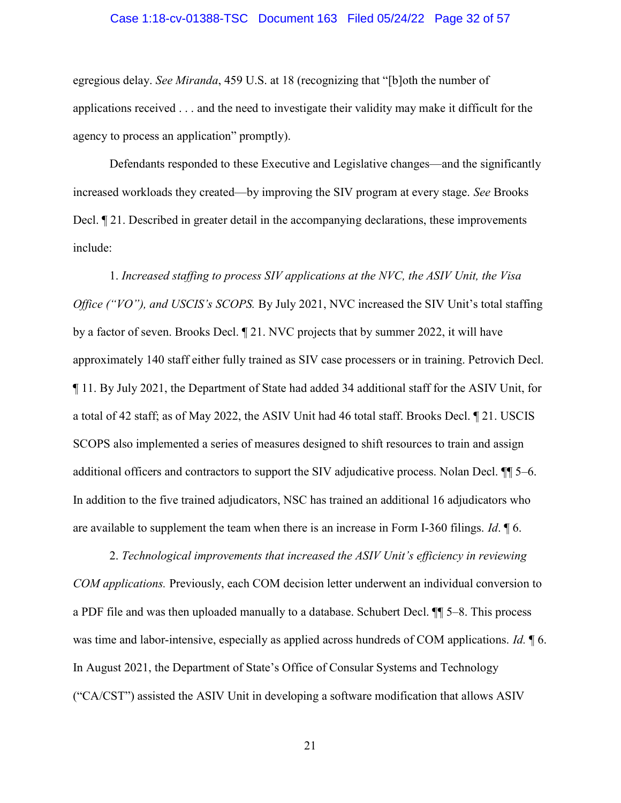#### Case 1:18-cv-01388-TSC Document 163 Filed 05/24/22 Page 32 of 57

egregious delay. See Miranda, 459 U.S. at 18 (recognizing that "[b]oth the number of applications received . . . and the need to investigate their validity may make it difficult for the agency to process an application" promptly).

Defendants responded to these Executive and Legislative changes—and the significantly increased workloads they created—by improving the SIV program at every stage. See Brooks Decl. ¶ 21. Described in greater detail in the accompanying declarations, these improvements include:

1. Increased staffing to process SIV applications at the NVC, the ASIV Unit, the Visa Office ("VO"), and USCIS's SCOPS. By July 2021, NVC increased the SIV Unit's total staffing by a factor of seven. Brooks Decl. ¶ 21. NVC projects that by summer 2022, it will have approximately 140 staff either fully trained as SIV case processers or in training. Petrovich Decl. ¶ 11. By July 2021, the Department of State had added 34 additional staff for the ASIV Unit, for a total of 42 staff; as of May 2022, the ASIV Unit had 46 total staff. Brooks Decl. ¶ 21. USCIS SCOPS also implemented a series of measures designed to shift resources to train and assign additional officers and contractors to support the SIV adjudicative process. Nolan Decl. ¶¶ 5–6. In addition to the five trained adjudicators, NSC has trained an additional 16 adjudicators who are available to supplement the team when there is an increase in Form I-360 filings. Id. ¶ 6.

2. Technological improvements that increased the ASIV Unit's efficiency in reviewing COM applications. Previously, each COM decision letter underwent an individual conversion to a PDF file and was then uploaded manually to a database. Schubert Decl. ¶¶ 5–8. This process was time and labor-intensive, especially as applied across hundreds of COM applications. Id.  $\oint$  6. In August 2021, the Department of State's Office of Consular Systems and Technology ("CA/CST") assisted the ASIV Unit in developing a software modification that allows ASIV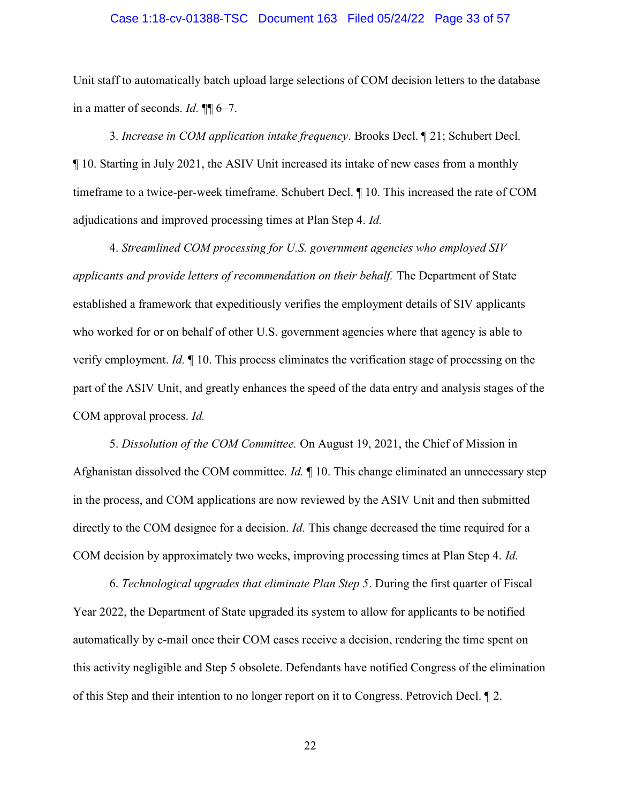#### Case 1:18-cv-01388-TSC Document 163 Filed 05/24/22 Page 33 of 57

Unit staff to automatically batch upload large selections of COM decision letters to the database in a matter of seconds. Id. ¶¶ 6–7.

3. Increase in COM application intake frequency. Brooks Decl. ¶ 21; Schubert Decl. ¶ 10. Starting in July 2021, the ASIV Unit increased its intake of new cases from a monthly timeframe to a twice-per-week timeframe. Schubert Decl. ¶ 10. This increased the rate of COM adjudications and improved processing times at Plan Step 4. Id.

4. Streamlined COM processing for U.S. government agencies who employed SIV applicants and provide letters of recommendation on their behalf. The Department of State established a framework that expeditiously verifies the employment details of SIV applicants who worked for or on behalf of other U.S. government agencies where that agency is able to verify employment. Id. ¶ 10. This process eliminates the verification stage of processing on the part of the ASIV Unit, and greatly enhances the speed of the data entry and analysis stages of the COM approval process. Id.

5. Dissolution of the COM Committee. On August 19, 2021, the Chief of Mission in Afghanistan dissolved the COM committee. *Id.*  $\parallel$  10. This change eliminated an unnecessary step in the process, and COM applications are now reviewed by the ASIV Unit and then submitted directly to the COM designee for a decision. *Id*. This change decreased the time required for a COM decision by approximately two weeks, improving processing times at Plan Step 4. Id.

6. Technological upgrades that eliminate Plan Step 5. During the first quarter of Fiscal Year 2022, the Department of State upgraded its system to allow for applicants to be notified automatically by e-mail once their COM cases receive a decision, rendering the time spent on this activity negligible and Step 5 obsolete. Defendants have notified Congress of the elimination of this Step and their intention to no longer report on it to Congress. Petrovich Decl. ¶ 2.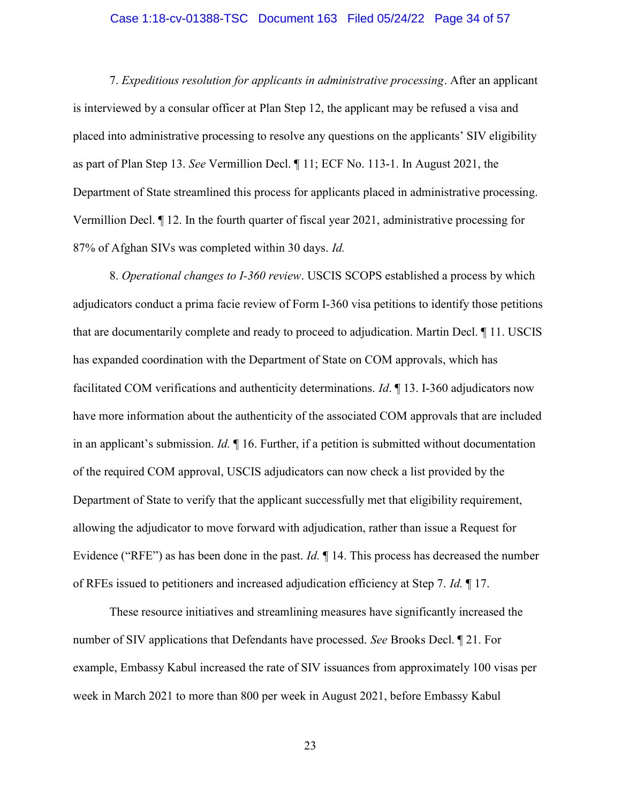#### Case 1:18-cv-01388-TSC Document 163 Filed 05/24/22 Page 34 of 57

7. Expeditious resolution for applicants in administrative processing. After an applicant is interviewed by a consular officer at Plan Step 12, the applicant may be refused a visa and placed into administrative processing to resolve any questions on the applicants' SIV eligibility as part of Plan Step 13. See Vermillion Decl. ¶ 11; ECF No. 113-1. In August 2021, the Department of State streamlined this process for applicants placed in administrative processing. Vermillion Decl. ¶ 12. In the fourth quarter of fiscal year 2021, administrative processing for 87% of Afghan SIVs was completed within 30 days. Id.

8. Operational changes to I-360 review. USCIS SCOPS established a process by which adjudicators conduct a prima facie review of Form I-360 visa petitions to identify those petitions that are documentarily complete and ready to proceed to adjudication. Martin Decl. ¶ 11. USCIS has expanded coordination with the Department of State on COM approvals, which has facilitated COM verifications and authenticity determinations. Id. ¶ 13. I-360 adjudicators now have more information about the authenticity of the associated COM approvals that are included in an applicant's submission. Id.  $\blacksquare$  16. Further, if a petition is submitted without documentation of the required COM approval, USCIS adjudicators can now check a list provided by the Department of State to verify that the applicant successfully met that eligibility requirement, allowing the adjudicator to move forward with adjudication, rather than issue a Request for Evidence ("RFE") as has been done in the past. *Id*.  $\P$  14. This process has decreased the number of RFEs issued to petitioners and increased adjudication efficiency at Step 7. Id. ¶ 17.

These resource initiatives and streamlining measures have significantly increased the number of SIV applications that Defendants have processed. See Brooks Decl. ¶ 21. For example, Embassy Kabul increased the rate of SIV issuances from approximately 100 visas per week in March 2021 to more than 800 per week in August 2021, before Embassy Kabul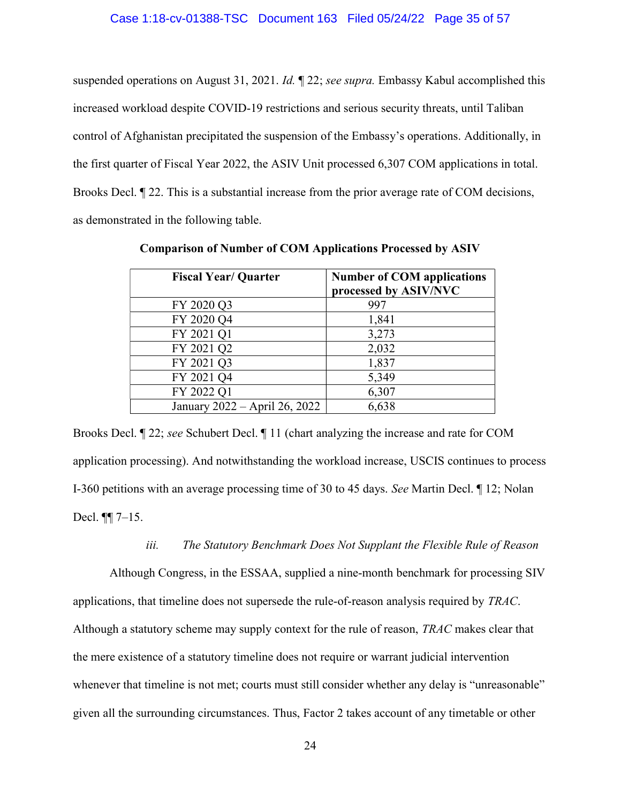suspended operations on August 31, 2021. *Id.*  $\mathbb{I}$  22; *see supra*. Embassy Kabul accomplished this increased workload despite COVID-19 restrictions and serious security threats, until Taliban control of Afghanistan precipitated the suspension of the Embassy's operations. Additionally, in the first quarter of Fiscal Year 2022, the ASIV Unit processed 6,307 COM applications in total. Brooks Decl. ¶ 22. This is a substantial increase from the prior average rate of COM decisions, as demonstrated in the following table.

| <b>Fiscal Year/ Quarter</b>   | <b>Number of COM applications</b><br>processed by ASIV/NVC |
|-------------------------------|------------------------------------------------------------|
| FY 2020 Q3                    | 997                                                        |
| FY 2020 Q4                    | 1,841                                                      |
| FY 2021 Q1                    | 3,273                                                      |
| FY 2021 Q2                    | 2,032                                                      |
| FY 2021 Q3                    | 1,837                                                      |
| FY 2021 Q4                    | 5,349                                                      |
| FY 2022 Q1                    | 6,307                                                      |
| January 2022 – April 26, 2022 | 6,638                                                      |

Comparison of Number of COM Applications Processed by ASIV

Brooks Decl. ¶ 22; see Schubert Decl. ¶ 11 (chart analyzing the increase and rate for COM application processing). And notwithstanding the workload increase, USCIS continues to process I-360 petitions with an average processing time of 30 to 45 days. See Martin Decl. ¶ 12; Nolan Decl. ¶¶ 7–15.

#### iii. The Statutory Benchmark Does Not Supplant the Flexible Rule of Reason

Although Congress, in the ESSAA, supplied a nine-month benchmark for processing SIV applications, that timeline does not supersede the rule-of-reason analysis required by TRAC. Although a statutory scheme may supply context for the rule of reason, TRAC makes clear that the mere existence of a statutory timeline does not require or warrant judicial intervention whenever that timeline is not met; courts must still consider whether any delay is "unreasonable" given all the surrounding circumstances. Thus, Factor 2 takes account of any timetable or other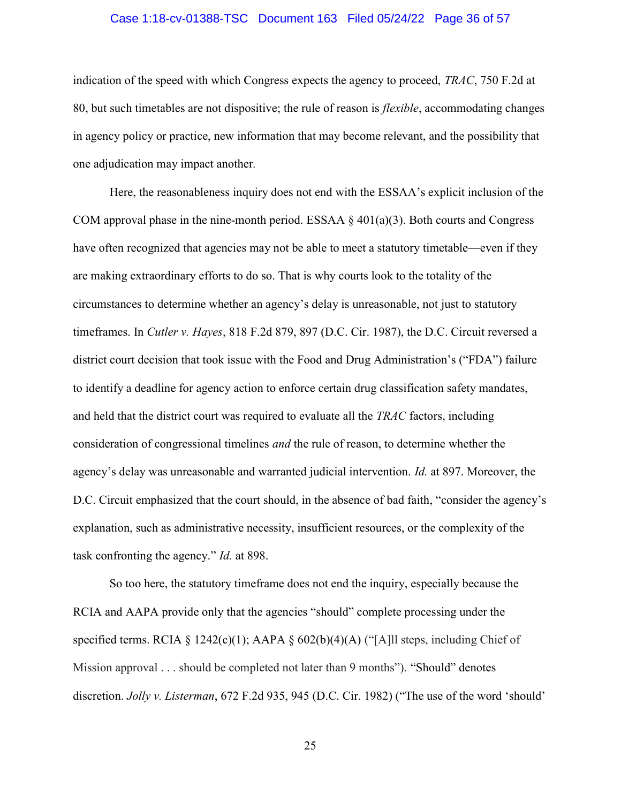#### Case 1:18-cv-01388-TSC Document 163 Filed 05/24/22 Page 36 of 57

indication of the speed with which Congress expects the agency to proceed, TRAC, 750 F.2d at 80, but such timetables are not dispositive; the rule of reason is flexible, accommodating changes in agency policy or practice, new information that may become relevant, and the possibility that one adjudication may impact another.

Here, the reasonableness inquiry does not end with the ESSAA's explicit inclusion of the COM approval phase in the nine-month period. ESSAA  $\S 401(a)(3)$ . Both courts and Congress have often recognized that agencies may not be able to meet a statutory timetable—even if they are making extraordinary efforts to do so. That is why courts look to the totality of the circumstances to determine whether an agency's delay is unreasonable, not just to statutory timeframes. In *Cutler v. Hayes*, 818 F.2d 879, 897 (D.C. Cir. 1987), the D.C. Circuit reversed a district court decision that took issue with the Food and Drug Administration's ("FDA") failure to identify a deadline for agency action to enforce certain drug classification safety mandates, and held that the district court was required to evaluate all the TRAC factors, including consideration of congressional timelines and the rule of reason, to determine whether the agency's delay was unreasonable and warranted judicial intervention. Id. at 897. Moreover, the D.C. Circuit emphasized that the court should, in the absence of bad faith, "consider the agency's explanation, such as administrative necessity, insufficient resources, or the complexity of the task confronting the agency." Id. at 898.

So too here, the statutory timeframe does not end the inquiry, especially because the RCIA and AAPA provide only that the agencies "should" complete processing under the specified terms. RCIA § 1242(c)(1); AAPA §  $602(b)(4)(A)$  ("[A]ll steps, including Chief of Mission approval . . . should be completed not later than 9 months"). "Should" denotes discretion. Jolly v. Listerman, 672 F.2d 935, 945 (D.C. Cir. 1982) ("The use of the word 'should'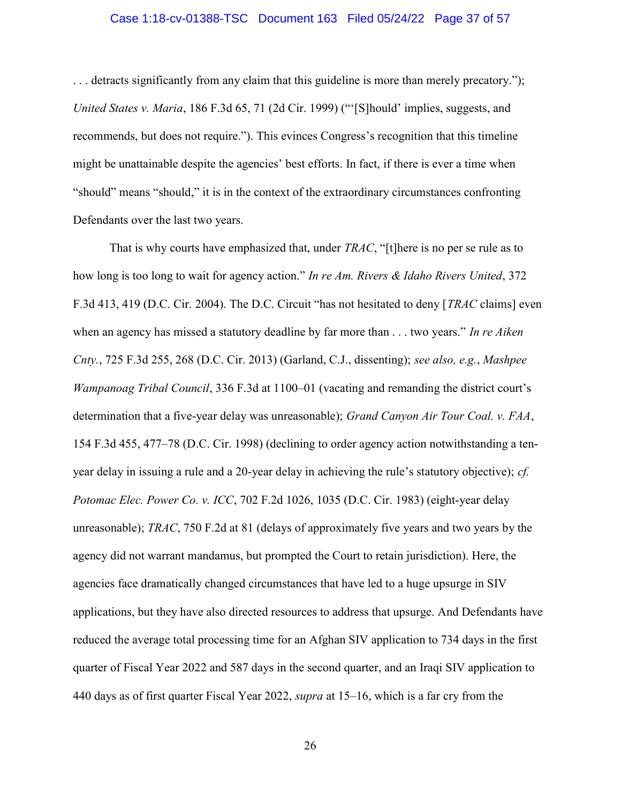#### Case 1:18-cv-01388-TSC Document 163 Filed 05/24/22 Page 37 of 57

. . . detracts significantly from any claim that this guideline is more than merely precatory."); United States v. Maria, 186 F.3d 65, 71 (2d Cir. 1999) ("'[S]hould' implies, suggests, and recommends, but does not require."). This evinces Congress's recognition that this timeline might be unattainable despite the agencies' best efforts. In fact, if there is ever a time when "should" means "should," it is in the context of the extraordinary circumstances confronting Defendants over the last two years.

That is why courts have emphasized that, under *TRAC*, "[t]here is no per se rule as to how long is too long to wait for agency action." In re Am. Rivers & Idaho Rivers United, 372 F.3d 413, 419 (D.C. Cir. 2004). The D.C. Circuit "has not hesitated to deny [*TRAC* claims] even when an agency has missed a statutory deadline by far more than  $\dots$  two years." In re Aiken Cnty., 725 F.3d 255, 268 (D.C. Cir. 2013) (Garland, C.J., dissenting); see also, e.g., Mashpee Wampanoag Tribal Council, 336 F.3d at 1100–01 (vacating and remanding the district court's determination that a five-year delay was unreasonable); Grand Canyon Air Tour Coal. v. FAA, 154 F.3d 455, 477–78 (D.C. Cir. 1998) (declining to order agency action notwithstanding a tenyear delay in issuing a rule and a 20-year delay in achieving the rule's statutory objective); cf. Potomac Elec. Power Co. v. ICC, 702 F.2d 1026, 1035 (D.C. Cir. 1983) (eight-year delay unreasonable); TRAC, 750 F.2d at 81 (delays of approximately five years and two years by the agency did not warrant mandamus, but prompted the Court to retain jurisdiction). Here, the agencies face dramatically changed circumstances that have led to a huge upsurge in SIV applications, but they have also directed resources to address that upsurge. And Defendants have reduced the average total processing time for an Afghan SIV application to 734 days in the first quarter of Fiscal Year 2022 and 587 days in the second quarter, and an Iraqi SIV application to 440 days as of first quarter Fiscal Year 2022, supra at 15–16, which is a far cry from the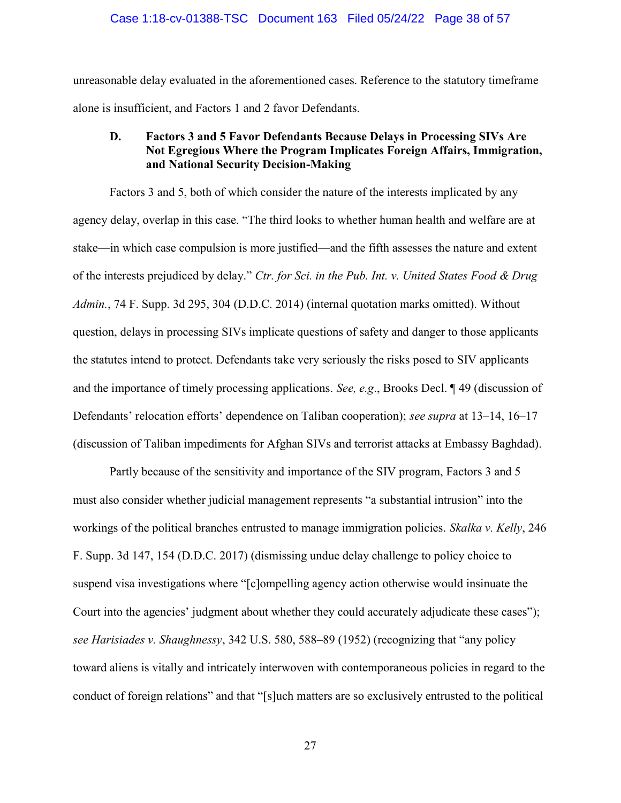#### Case 1:18-cv-01388-TSC Document 163 Filed 05/24/22 Page 38 of 57

unreasonable delay evaluated in the aforementioned cases. Reference to the statutory timeframe alone is insufficient, and Factors 1 and 2 favor Defendants.

### D. Factors 3 and 5 Favor Defendants Because Delays in Processing SIVs Are Not Egregious Where the Program Implicates Foreign Affairs, Immigration, and National Security Decision-Making

Factors 3 and 5, both of which consider the nature of the interests implicated by any agency delay, overlap in this case. "The third looks to whether human health and welfare are at stake—in which case compulsion is more justified—and the fifth assesses the nature and extent of the interests prejudiced by delay." Ctr. for Sci. in the Pub. Int. v. United States Food & Drug Admin., 74 F. Supp. 3d 295, 304 (D.D.C. 2014) (internal quotation marks omitted). Without question, delays in processing SIVs implicate questions of safety and danger to those applicants the statutes intend to protect. Defendants take very seriously the risks posed to SIV applicants and the importance of timely processing applications. See, e.g., Brooks Decl. ¶ 49 (discussion of Defendants' relocation efforts' dependence on Taliban cooperation); see supra at 13–14, 16–17 (discussion of Taliban impediments for Afghan SIVs and terrorist attacks at Embassy Baghdad).

Partly because of the sensitivity and importance of the SIV program, Factors 3 and 5 must also consider whether judicial management represents "a substantial intrusion" into the workings of the political branches entrusted to manage immigration policies. Skalka v. Kelly, 246 F. Supp. 3d 147, 154 (D.D.C. 2017) (dismissing undue delay challenge to policy choice to suspend visa investigations where "[c]ompelling agency action otherwise would insinuate the Court into the agencies' judgment about whether they could accurately adjudicate these cases"); see Harisiades v. Shaughnessy, 342 U.S. 580, 588–89 (1952) (recognizing that "any policy toward aliens is vitally and intricately interwoven with contemporaneous policies in regard to the conduct of foreign relations" and that "[s]uch matters are so exclusively entrusted to the political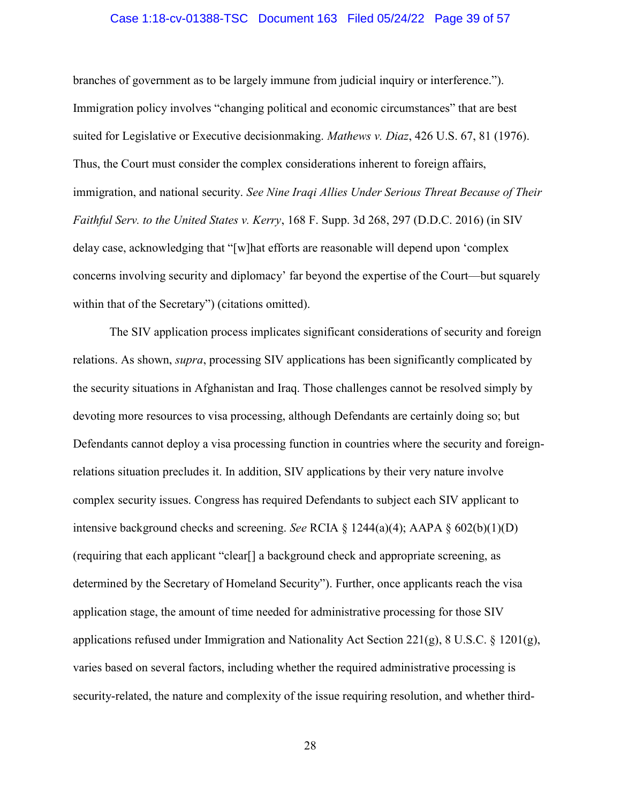#### Case 1:18-cv-01388-TSC Document 163 Filed 05/24/22 Page 39 of 57

branches of government as to be largely immune from judicial inquiry or interference."). Immigration policy involves "changing political and economic circumstances" that are best suited for Legislative or Executive decisionmaking. Mathews v. Diaz, 426 U.S. 67, 81 (1976). Thus, the Court must consider the complex considerations inherent to foreign affairs, immigration, and national security. See Nine Iraqi Allies Under Serious Threat Because of Their Faithful Serv. to the United States v. Kerry, 168 F. Supp. 3d 268, 297 (D.D.C. 2016) (in SIV delay case, acknowledging that "[w]hat efforts are reasonable will depend upon 'complex concerns involving security and diplomacy' far beyond the expertise of the Court—but squarely within that of the Secretary") (citations omitted).

The SIV application process implicates significant considerations of security and foreign relations. As shown, supra, processing SIV applications has been significantly complicated by the security situations in Afghanistan and Iraq. Those challenges cannot be resolved simply by devoting more resources to visa processing, although Defendants are certainly doing so; but Defendants cannot deploy a visa processing function in countries where the security and foreignrelations situation precludes it. In addition, SIV applications by their very nature involve complex security issues. Congress has required Defendants to subject each SIV applicant to intensive background checks and screening. See RCIA  $\S$  1244(a)(4); AAPA  $\S$  602(b)(1)(D) (requiring that each applicant "clear[] a background check and appropriate screening, as determined by the Secretary of Homeland Security"). Further, once applicants reach the visa application stage, the amount of time needed for administrative processing for those SIV applications refused under Immigration and Nationality Act Section 221(g), 8 U.S.C. § 1201(g), varies based on several factors, including whether the required administrative processing is security-related, the nature and complexity of the issue requiring resolution, and whether third-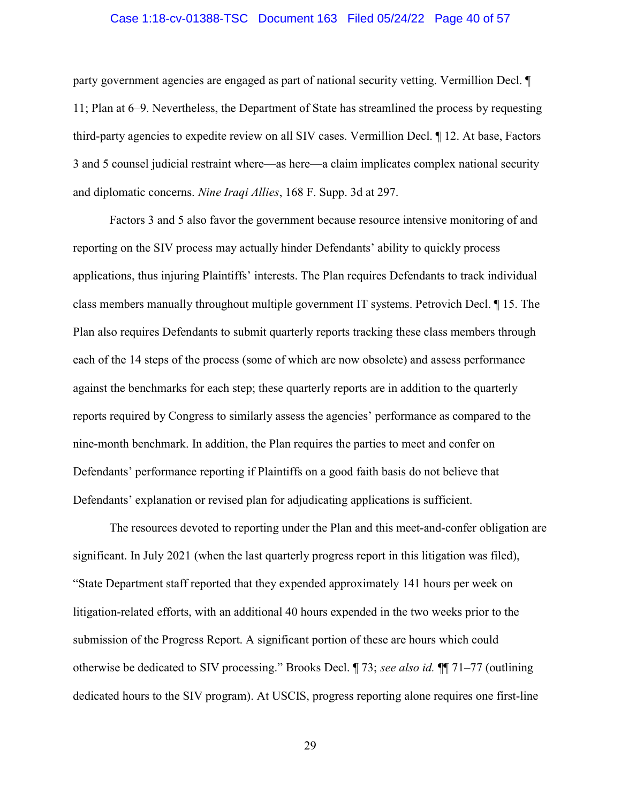#### Case 1:18-cv-01388-TSC Document 163 Filed 05/24/22 Page 40 of 57

party government agencies are engaged as part of national security vetting. Vermillion Decl. ¶ 11; Plan at 6–9. Nevertheless, the Department of State has streamlined the process by requesting third-party agencies to expedite review on all SIV cases. Vermillion Decl. ¶ 12. At base, Factors 3 and 5 counsel judicial restraint where—as here—a claim implicates complex national security and diplomatic concerns. Nine Iraqi Allies, 168 F. Supp. 3d at 297.

Factors 3 and 5 also favor the government because resource intensive monitoring of and reporting on the SIV process may actually hinder Defendants' ability to quickly process applications, thus injuring Plaintiffs' interests. The Plan requires Defendants to track individual class members manually throughout multiple government IT systems. Petrovich Decl. ¶ 15. The Plan also requires Defendants to submit quarterly reports tracking these class members through each of the 14 steps of the process (some of which are now obsolete) and assess performance against the benchmarks for each step; these quarterly reports are in addition to the quarterly reports required by Congress to similarly assess the agencies' performance as compared to the nine-month benchmark. In addition, the Plan requires the parties to meet and confer on Defendants' performance reporting if Plaintiffs on a good faith basis do not believe that Defendants' explanation or revised plan for adjudicating applications is sufficient.

The resources devoted to reporting under the Plan and this meet-and-confer obligation are significant. In July 2021 (when the last quarterly progress report in this litigation was filed), "State Department staff reported that they expended approximately 141 hours per week on litigation-related efforts, with an additional 40 hours expended in the two weeks prior to the submission of the Progress Report. A significant portion of these are hours which could otherwise be dedicated to SIV processing." Brooks Decl. ¶ 73; see also id. ¶¶ 71–77 (outlining dedicated hours to the SIV program). At USCIS, progress reporting alone requires one first-line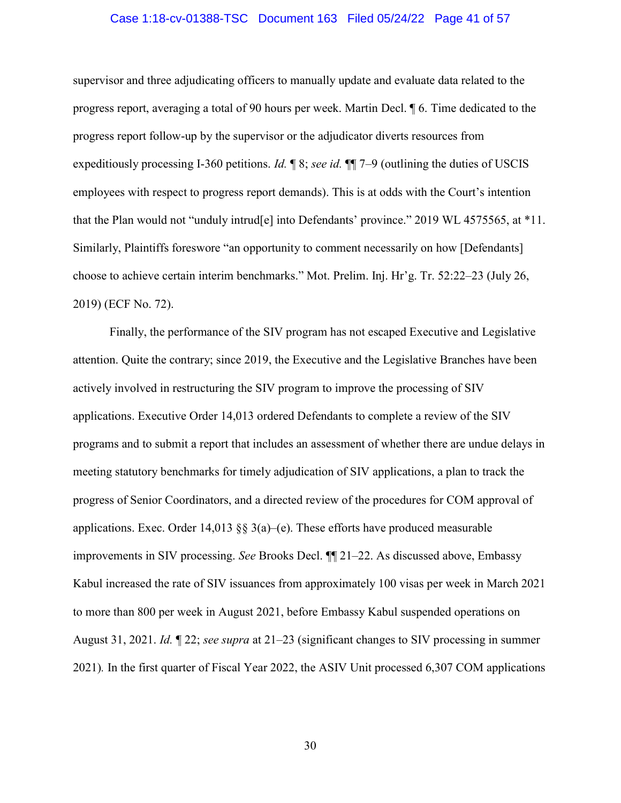#### Case 1:18-cv-01388-TSC Document 163 Filed 05/24/22 Page 41 of 57

supervisor and three adjudicating officers to manually update and evaluate data related to the progress report, averaging a total of 90 hours per week. Martin Decl. ¶ 6. Time dedicated to the progress report follow-up by the supervisor or the adjudicator diverts resources from expeditiously processing I-360 petitions. Id. ¶ 8; see id. ¶¶ 7–9 (outlining the duties of USCIS employees with respect to progress report demands). This is at odds with the Court's intention that the Plan would not "unduly intrud[e] into Defendants' province." 2019 WL 4575565, at \*11. Similarly, Plaintiffs foreswore "an opportunity to comment necessarily on how [Defendants] choose to achieve certain interim benchmarks." Mot. Prelim. Inj. Hr'g. Tr. 52:22–23 (July 26, 2019) (ECF No. 72).

Finally, the performance of the SIV program has not escaped Executive and Legislative attention. Quite the contrary; since 2019, the Executive and the Legislative Branches have been actively involved in restructuring the SIV program to improve the processing of SIV applications. Executive Order 14,013 ordered Defendants to complete a review of the SIV programs and to submit a report that includes an assessment of whether there are undue delays in meeting statutory benchmarks for timely adjudication of SIV applications, a plan to track the progress of Senior Coordinators, and a directed review of the procedures for COM approval of applications. Exec. Order 14,013  $\S$  3(a)–(e). These efforts have produced measurable improvements in SIV processing. See Brooks Decl. ¶¶ 21–22. As discussed above, Embassy Kabul increased the rate of SIV issuances from approximately 100 visas per week in March 2021 to more than 800 per week in August 2021, before Embassy Kabul suspended operations on August 31, 2021. Id.  $\mathbb{I}$  22; see supra at 21–23 (significant changes to SIV processing in summer 2021). In the first quarter of Fiscal Year 2022, the ASIV Unit processed 6,307 COM applications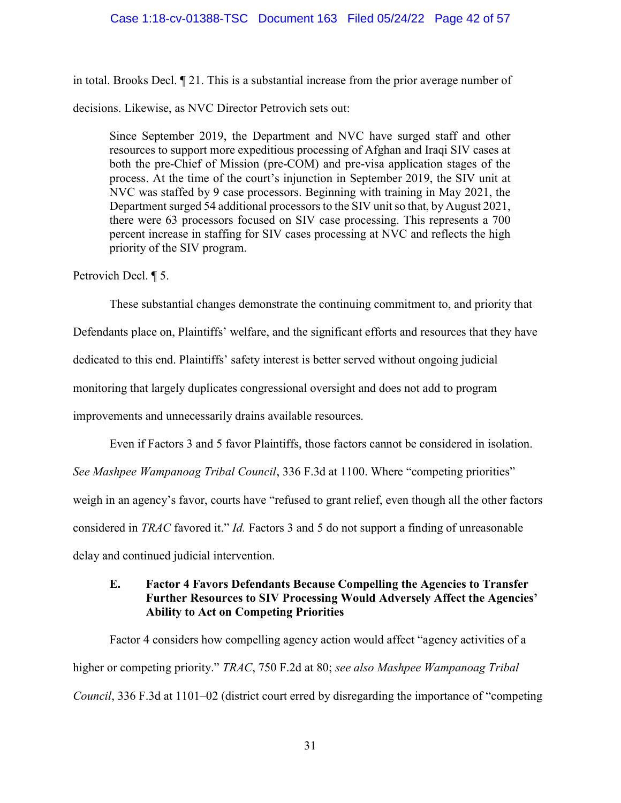in total. Brooks Decl. ¶ 21. This is a substantial increase from the prior average number of decisions. Likewise, as NVC Director Petrovich sets out:

Since September 2019, the Department and NVC have surged staff and other resources to support more expeditious processing of Afghan and Iraqi SIV cases at both the pre-Chief of Mission (pre-COM) and pre-visa application stages of the process. At the time of the court's injunction in September 2019, the SIV unit at NVC was staffed by 9 case processors. Beginning with training in May 2021, the Department surged 54 additional processors to the SIV unit so that, by August 2021, there were 63 processors focused on SIV case processing. This represents a 700 percent increase in staffing for SIV cases processing at NVC and reflects the high priority of the SIV program.

Petrovich Decl. ¶ 5.

These substantial changes demonstrate the continuing commitment to, and priority that

Defendants place on, Plaintiffs' welfare, and the significant efforts and resources that they have

dedicated to this end. Plaintiffs' safety interest is better served without ongoing judicial

monitoring that largely duplicates congressional oversight and does not add to program

improvements and unnecessarily drains available resources.

Even if Factors 3 and 5 favor Plaintiffs, those factors cannot be considered in isolation.

See Mashpee Wampanoag Tribal Council, 336 F.3d at 1100. Where "competing priorities"

weigh in an agency's favor, courts have "refused to grant relief, even though all the other factors

considered in TRAC favored it." Id. Factors 3 and 5 do not support a finding of unreasonable

delay and continued judicial intervention.

### E. Factor 4 Favors Defendants Because Compelling the Agencies to Transfer Further Resources to SIV Processing Would Adversely Affect the Agencies' Ability to Act on Competing Priorities

Factor 4 considers how compelling agency action would affect "agency activities of a higher or competing priority." TRAC, 750 F.2d at 80; see also Mashpee Wampanoag Tribal Council, 336 F.3d at 1101–02 (district court erred by disregarding the importance of "competing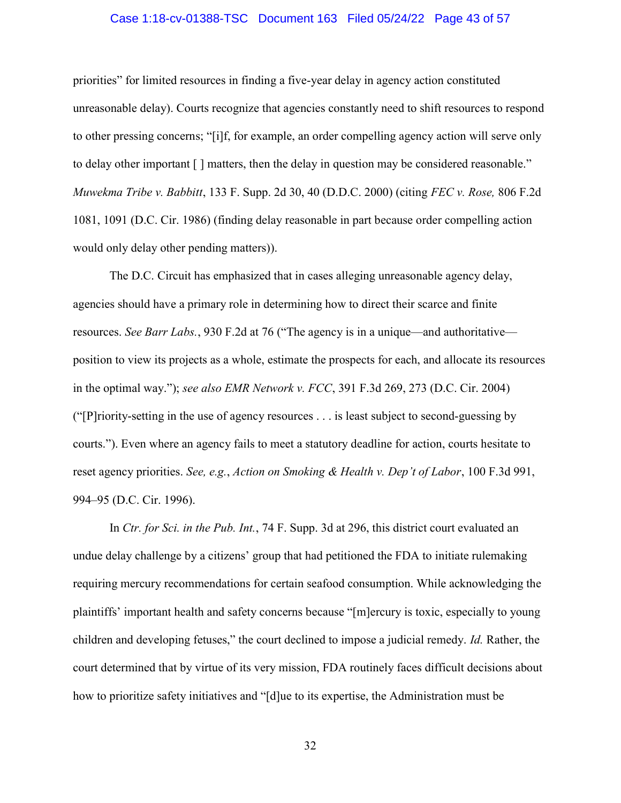#### Case 1:18-cv-01388-TSC Document 163 Filed 05/24/22 Page 43 of 57

priorities" for limited resources in finding a five-year delay in agency action constituted unreasonable delay). Courts recognize that agencies constantly need to shift resources to respond to other pressing concerns; "[i]f, for example, an order compelling agency action will serve only to delay other important [ ] matters, then the delay in question may be considered reasonable." Muwekma Tribe v. Babbitt, 133 F. Supp. 2d 30, 40 (D.D.C. 2000) (citing FEC v. Rose, 806 F.2d 1081, 1091 (D.C. Cir. 1986) (finding delay reasonable in part because order compelling action would only delay other pending matters)).

The D.C. Circuit has emphasized that in cases alleging unreasonable agency delay, agencies should have a primary role in determining how to direct their scarce and finite resources. See Barr Labs., 930 F.2d at 76 ("The agency is in a unique—and authoritative position to view its projects as a whole, estimate the prospects for each, and allocate its resources in the optimal way."); see also EMR Network v. FCC, 391 F.3d 269, 273 (D.C. Cir. 2004) ("[P]riority-setting in the use of agency resources . . . is least subject to second-guessing by courts."). Even where an agency fails to meet a statutory deadline for action, courts hesitate to reset agency priorities. See, e.g., Action on Smoking & Health v. Dep't of Labor, 100 F.3d 991, 994–95 (D.C. Cir. 1996).

In Ctr. for Sci. in the Pub. Int., 74 F. Supp. 3d at 296, this district court evaluated an undue delay challenge by a citizens' group that had petitioned the FDA to initiate rulemaking requiring mercury recommendations for certain seafood consumption. While acknowledging the plaintiffs' important health and safety concerns because "[m]ercury is toxic, especially to young children and developing fetuses," the court declined to impose a judicial remedy. Id. Rather, the court determined that by virtue of its very mission, FDA routinely faces difficult decisions about how to prioritize safety initiatives and "[d]ue to its expertise, the Administration must be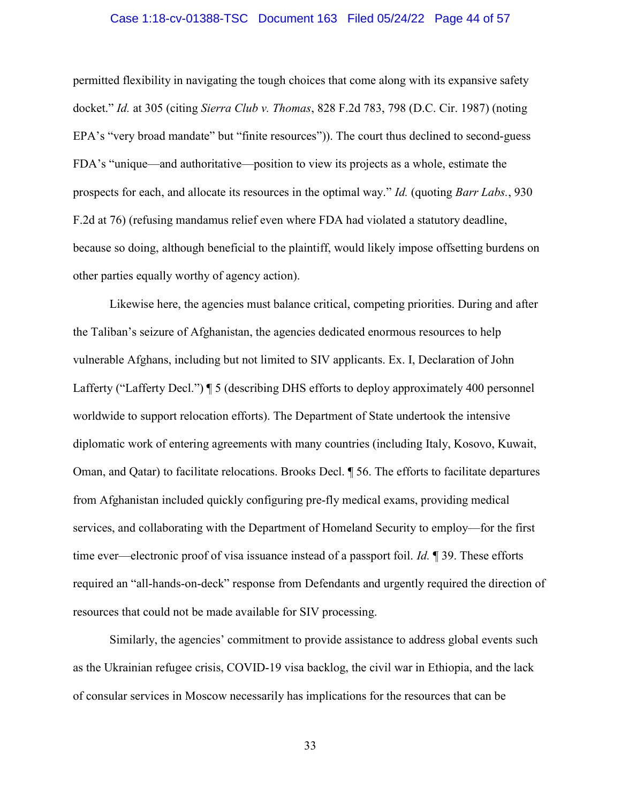#### Case 1:18-cv-01388-TSC Document 163 Filed 05/24/22 Page 44 of 57

permitted flexibility in navigating the tough choices that come along with its expansive safety docket." Id. at 305 (citing Sierra Club v. Thomas, 828 F.2d 783, 798 (D.C. Cir. 1987) (noting EPA's "very broad mandate" but "finite resources")). The court thus declined to second-guess FDA's "unique—and authoritative—position to view its projects as a whole, estimate the prospects for each, and allocate its resources in the optimal way." Id. (quoting Barr Labs., 930 F.2d at 76) (refusing mandamus relief even where FDA had violated a statutory deadline, because so doing, although beneficial to the plaintiff, would likely impose offsetting burdens on other parties equally worthy of agency action).

 Likewise here, the agencies must balance critical, competing priorities. During and after the Taliban's seizure of Afghanistan, the agencies dedicated enormous resources to help vulnerable Afghans, including but not limited to SIV applicants. Ex. I, Declaration of John Lafferty ("Lafferty Decl.")  $\parallel$  5 (describing DHS efforts to deploy approximately 400 personnel worldwide to support relocation efforts). The Department of State undertook the intensive diplomatic work of entering agreements with many countries (including Italy, Kosovo, Kuwait, Oman, and Qatar) to facilitate relocations. Brooks Decl. ¶ 56. The efforts to facilitate departures from Afghanistan included quickly configuring pre-fly medical exams, providing medical services, and collaborating with the Department of Homeland Security to employ—for the first time ever—electronic proof of visa issuance instead of a passport foil. *Id.* 1 39. These efforts required an "all-hands-on-deck" response from Defendants and urgently required the direction of resources that could not be made available for SIV processing.

 Similarly, the agencies' commitment to provide assistance to address global events such as the Ukrainian refugee crisis, COVID-19 visa backlog, the civil war in Ethiopia, and the lack of consular services in Moscow necessarily has implications for the resources that can be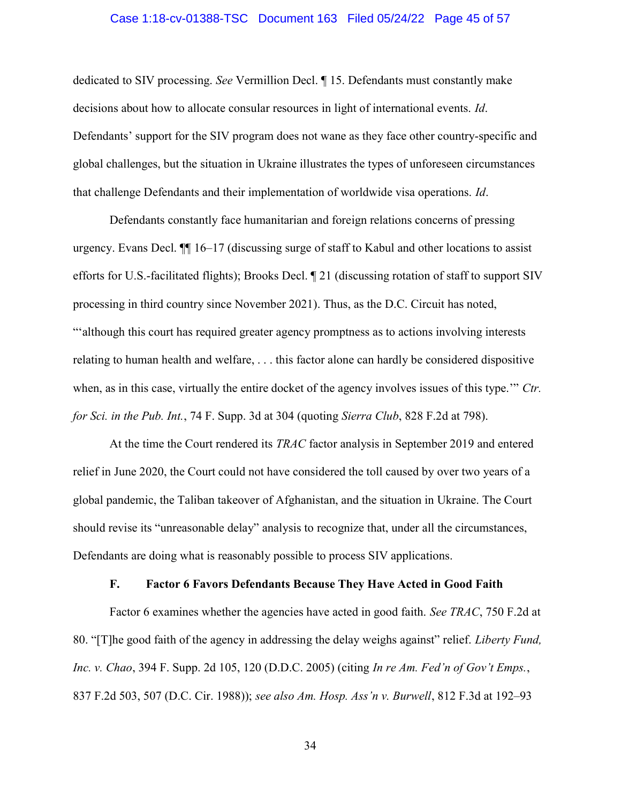#### Case 1:18-cv-01388-TSC Document 163 Filed 05/24/22 Page 45 of 57

dedicated to SIV processing. See Vermillion Decl. ¶ 15. Defendants must constantly make decisions about how to allocate consular resources in light of international events. Id. Defendants' support for the SIV program does not wane as they face other country-specific and global challenges, but the situation in Ukraine illustrates the types of unforeseen circumstances that challenge Defendants and their implementation of worldwide visa operations. Id.

Defendants constantly face humanitarian and foreign relations concerns of pressing urgency. Evans Decl. ¶¶ 16–17 (discussing surge of staff to Kabul and other locations to assist efforts for U.S.-facilitated flights); Brooks Decl. ¶ 21 (discussing rotation of staff to support SIV processing in third country since November 2021). Thus, as the D.C. Circuit has noted, "'although this court has required greater agency promptness as to actions involving interests relating to human health and welfare, . . . this factor alone can hardly be considered dispositive when, as in this case, virtually the entire docket of the agency involves issues of this type." Ctr. for Sci. in the Pub. Int., 74 F. Supp. 3d at 304 (quoting Sierra Club, 828 F.2d at 798).

At the time the Court rendered its TRAC factor analysis in September 2019 and entered relief in June 2020, the Court could not have considered the toll caused by over two years of a global pandemic, the Taliban takeover of Afghanistan, and the situation in Ukraine. The Court should revise its "unreasonable delay" analysis to recognize that, under all the circumstances, Defendants are doing what is reasonably possible to process SIV applications.

#### F. Factor 6 Favors Defendants Because They Have Acted in Good Faith

Factor 6 examines whether the agencies have acted in good faith. See TRAC, 750 F.2d at 80. "[T]he good faith of the agency in addressing the delay weighs against" relief. Liberty Fund, Inc. v. Chao, 394 F. Supp. 2d 105, 120 (D.D.C. 2005) (citing In re Am. Fed'n of Gov't Emps., 837 F.2d 503, 507 (D.C. Cir. 1988)); see also Am. Hosp. Ass'n v. Burwell, 812 F.3d at 192–93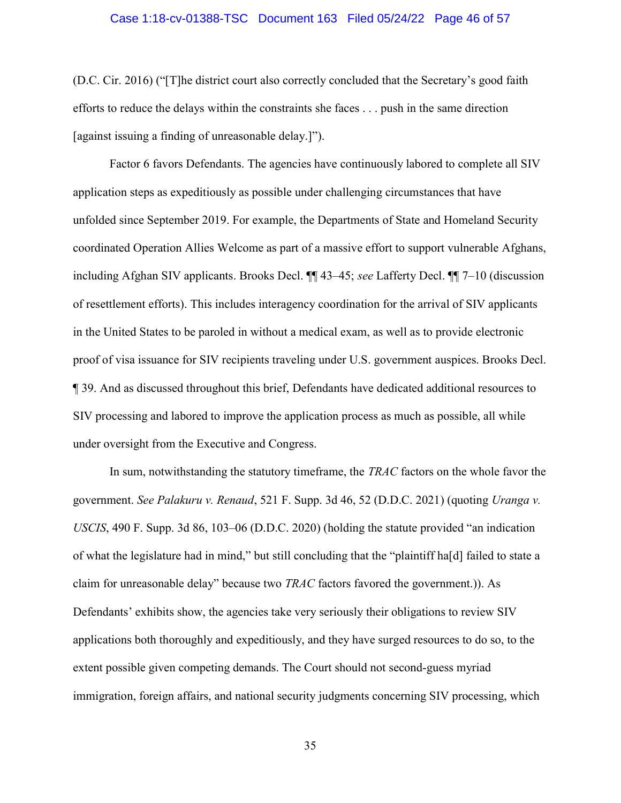#### Case 1:18-cv-01388-TSC Document 163 Filed 05/24/22 Page 46 of 57

(D.C. Cir. 2016) ("[T]he district court also correctly concluded that the Secretary's good faith efforts to reduce the delays within the constraints she faces . . . push in the same direction [against issuing a finding of unreasonable delay.]").

Factor 6 favors Defendants. The agencies have continuously labored to complete all SIV application steps as expeditiously as possible under challenging circumstances that have unfolded since September 2019. For example, the Departments of State and Homeland Security coordinated Operation Allies Welcome as part of a massive effort to support vulnerable Afghans, including Afghan SIV applicants. Brooks Decl. ¶¶ 43–45; see Lafferty Decl. ¶¶ 7–10 (discussion of resettlement efforts). This includes interagency coordination for the arrival of SIV applicants in the United States to be paroled in without a medical exam, as well as to provide electronic proof of visa issuance for SIV recipients traveling under U.S. government auspices. Brooks Decl. ¶ 39. And as discussed throughout this brief, Defendants have dedicated additional resources to SIV processing and labored to improve the application process as much as possible, all while under oversight from the Executive and Congress.

In sum, notwithstanding the statutory timeframe, the *TRAC* factors on the whole favor the government. See Palakuru v. Renaud, 521 F. Supp. 3d 46, 52 (D.D.C. 2021) (quoting Uranga v. USCIS, 490 F. Supp. 3d 86, 103–06 (D.D.C. 2020) (holding the statute provided "an indication of what the legislature had in mind," but still concluding that the "plaintiff ha[d] failed to state a claim for unreasonable delay" because two TRAC factors favored the government.)). As Defendants' exhibits show, the agencies take very seriously their obligations to review SIV applications both thoroughly and expeditiously, and they have surged resources to do so, to the extent possible given competing demands. The Court should not second-guess myriad immigration, foreign affairs, and national security judgments concerning SIV processing, which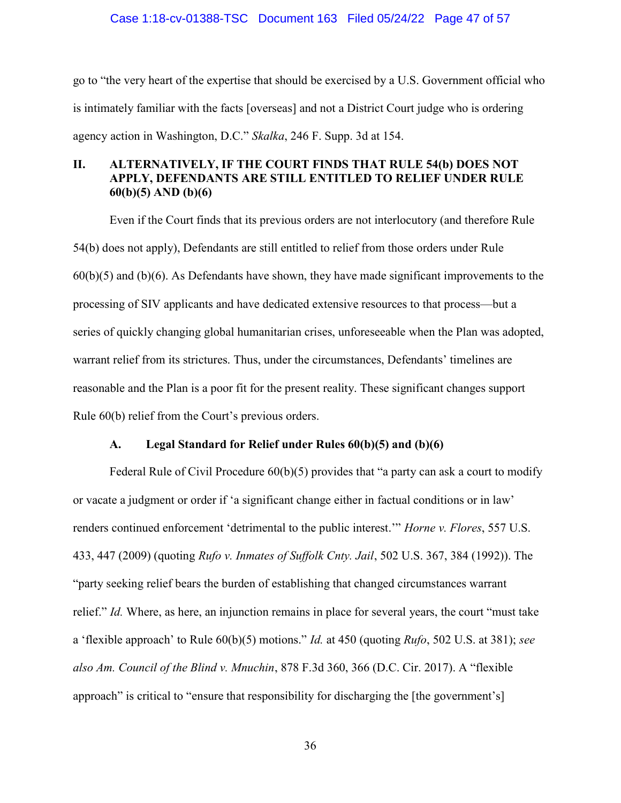#### Case 1:18-cv-01388-TSC Document 163 Filed 05/24/22 Page 47 of 57

go to "the very heart of the expertise that should be exercised by a U.S. Government official who is intimately familiar with the facts [overseas] and not a District Court judge who is ordering agency action in Washington, D.C." Skalka, 246 F. Supp. 3d at 154.

### II. ALTERNATIVELY, IF THE COURT FINDS THAT RULE 54(b) DOES NOT APPLY, DEFENDANTS ARE STILL ENTITLED TO RELIEF UNDER RULE 60(b)(5) AND (b)(6)

Even if the Court finds that its previous orders are not interlocutory (and therefore Rule 54(b) does not apply), Defendants are still entitled to relief from those orders under Rule 60(b)(5) and (b)(6). As Defendants have shown, they have made significant improvements to the processing of SIV applicants and have dedicated extensive resources to that process—but a series of quickly changing global humanitarian crises, unforeseeable when the Plan was adopted, warrant relief from its strictures. Thus, under the circumstances, Defendants' timelines are reasonable and the Plan is a poor fit for the present reality. These significant changes support Rule 60(b) relief from the Court's previous orders.

#### A. Legal Standard for Relief under Rules 60(b)(5) and (b)(6)

Federal Rule of Civil Procedure 60(b)(5) provides that "a party can ask a court to modify or vacate a judgment or order if 'a significant change either in factual conditions or in law' renders continued enforcement 'detrimental to the public interest.'" *Horne v. Flores*, 557 U.S. 433, 447 (2009) (quoting Rufo v. Inmates of Suffolk Cnty. Jail, 502 U.S. 367, 384 (1992)). The "party seeking relief bears the burden of establishing that changed circumstances warrant relief." Id. Where, as here, an injunction remains in place for several years, the court "must take a 'flexible approach' to Rule  $60(b)(5)$  motions." *Id.* at 450 (quoting *Rufo*, 502 U.S. at 381); see also Am. Council of the Blind v. Mnuchin, 878 F.3d 360, 366 (D.C. Cir. 2017). A "flexible approach" is critical to "ensure that responsibility for discharging the [the government's]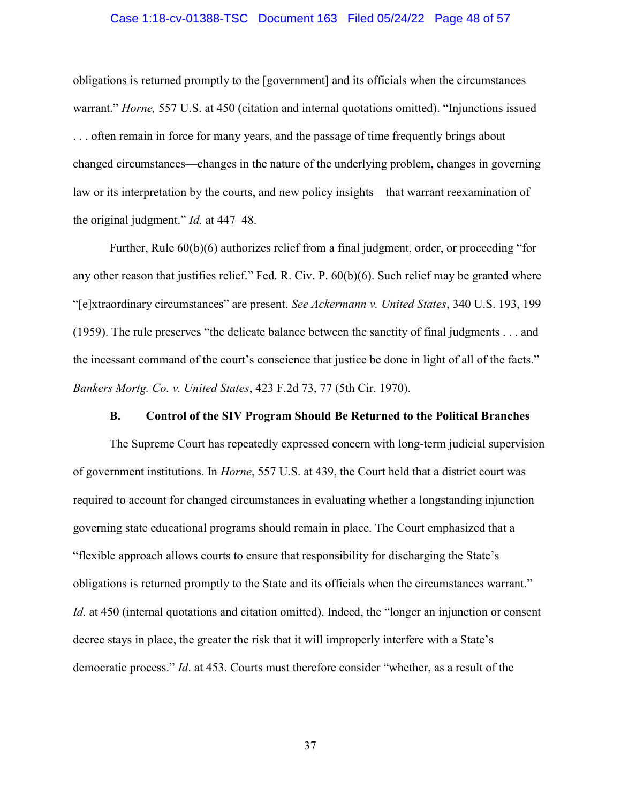#### Case 1:18-cv-01388-TSC Document 163 Filed 05/24/22 Page 48 of 57

obligations is returned promptly to the [government] and its officials when the circumstances warrant." Horne, 557 U.S. at 450 (citation and internal quotations omitted). "Injunctions issued . . . often remain in force for many years, and the passage of time frequently brings about changed circumstances—changes in the nature of the underlying problem, changes in governing law or its interpretation by the courts, and new policy insights—that warrant reexamination of the original judgment." *Id.* at 447–48.

Further, Rule 60(b)(6) authorizes relief from a final judgment, order, or proceeding "for any other reason that justifies relief." Fed. R. Civ. P. 60(b)(6). Such relief may be granted where "[e]xtraordinary circumstances" are present. See Ackermann v. United States, 340 U.S. 193, 199 (1959). The rule preserves "the delicate balance between the sanctity of final judgments . . . and the incessant command of the court's conscience that justice be done in light of all of the facts." Bankers Mortg. Co. v. United States, 423 F.2d 73, 77 (5th Cir. 1970).

#### B. Control of the SIV Program Should Be Returned to the Political Branches

The Supreme Court has repeatedly expressed concern with long-term judicial supervision of government institutions. In Horne, 557 U.S. at 439, the Court held that a district court was required to account for changed circumstances in evaluating whether a longstanding injunction governing state educational programs should remain in place. The Court emphasized that a "flexible approach allows courts to ensure that responsibility for discharging the State's obligations is returned promptly to the State and its officials when the circumstances warrant." Id. at 450 (internal quotations and citation omitted). Indeed, the "longer an injunction or consent decree stays in place, the greater the risk that it will improperly interfere with a State's democratic process." Id. at 453. Courts must therefore consider "whether, as a result of the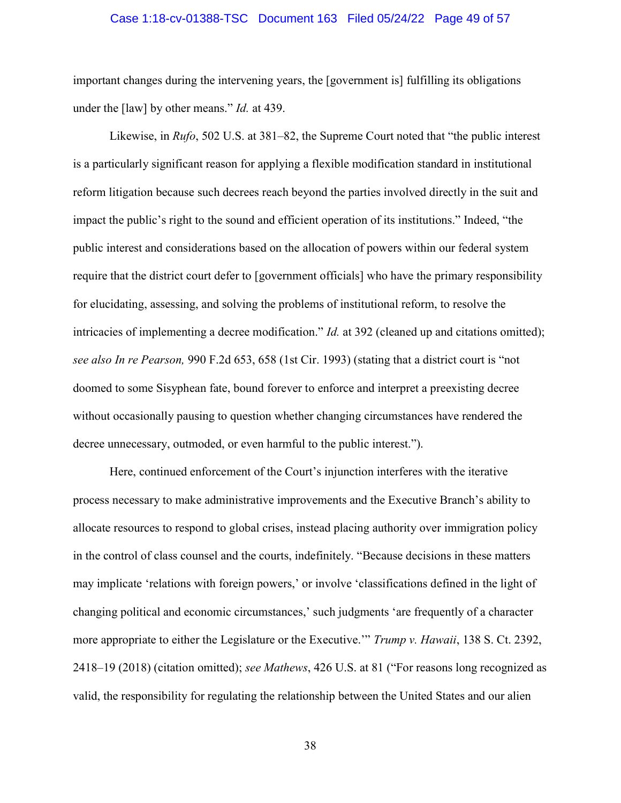#### Case 1:18-cv-01388-TSC Document 163 Filed 05/24/22 Page 49 of 57

important changes during the intervening years, the [government is] fulfilling its obligations under the [law] by other means." *Id.* at 439.

Likewise, in Rufo, 502 U.S. at  $381-82$ , the Supreme Court noted that "the public interest is a particularly significant reason for applying a flexible modification standard in institutional reform litigation because such decrees reach beyond the parties involved directly in the suit and impact the public's right to the sound and efficient operation of its institutions." Indeed, "the public interest and considerations based on the allocation of powers within our federal system require that the district court defer to [government officials] who have the primary responsibility for elucidating, assessing, and solving the problems of institutional reform, to resolve the intricacies of implementing a decree modification." Id. at 392 (cleaned up and citations omitted); see also In re Pearson, 990 F.2d 653, 658 (1st Cir. 1993) (stating that a district court is "not doomed to some Sisyphean fate, bound forever to enforce and interpret a preexisting decree without occasionally pausing to question whether changing circumstances have rendered the decree unnecessary, outmoded, or even harmful to the public interest.").

Here, continued enforcement of the Court's injunction interferes with the iterative process necessary to make administrative improvements and the Executive Branch's ability to allocate resources to respond to global crises, instead placing authority over immigration policy in the control of class counsel and the courts, indefinitely. "Because decisions in these matters may implicate 'relations with foreign powers,' or involve 'classifications defined in the light of changing political and economic circumstances,' such judgments 'are frequently of a character more appropriate to either the Legislature or the Executive." Trump v. Hawaii, 138 S. Ct. 2392, 2418–19 (2018) (citation omitted); see Mathews, 426 U.S. at 81 ("For reasons long recognized as valid, the responsibility for regulating the relationship between the United States and our alien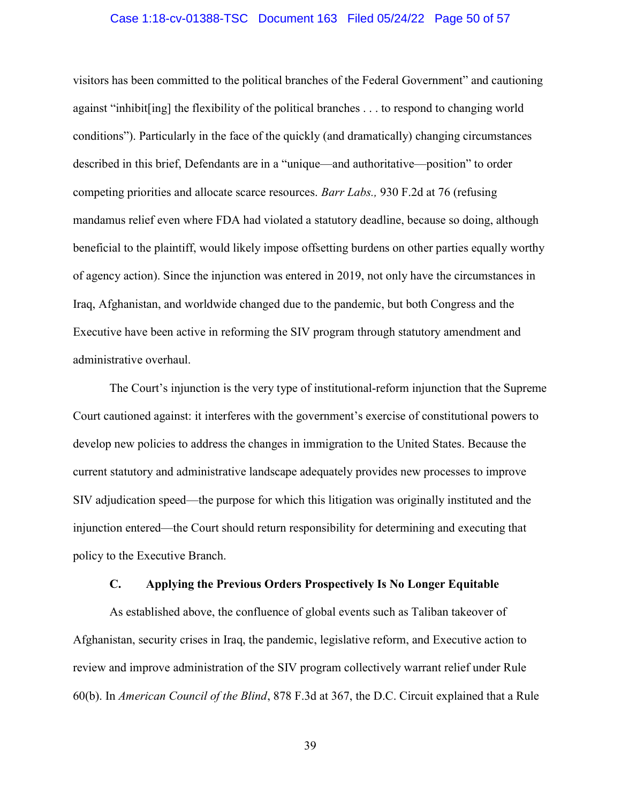#### Case 1:18-cv-01388-TSC Document 163 Filed 05/24/22 Page 50 of 57

visitors has been committed to the political branches of the Federal Government" and cautioning against "inhibit[ing] the flexibility of the political branches . . . to respond to changing world conditions"). Particularly in the face of the quickly (and dramatically) changing circumstances described in this brief, Defendants are in a "unique—and authoritative—position" to order competing priorities and allocate scarce resources. Barr Labs., 930 F.2d at 76 (refusing mandamus relief even where FDA had violated a statutory deadline, because so doing, although beneficial to the plaintiff, would likely impose offsetting burdens on other parties equally worthy of agency action). Since the injunction was entered in 2019, not only have the circumstances in Iraq, Afghanistan, and worldwide changed due to the pandemic, but both Congress and the Executive have been active in reforming the SIV program through statutory amendment and administrative overhaul.

The Court's injunction is the very type of institutional-reform injunction that the Supreme Court cautioned against: it interferes with the government's exercise of constitutional powers to develop new policies to address the changes in immigration to the United States. Because the current statutory and administrative landscape adequately provides new processes to improve SIV adjudication speed—the purpose for which this litigation was originally instituted and the injunction entered—the Court should return responsibility for determining and executing that policy to the Executive Branch.

#### C. Applying the Previous Orders Prospectively Is No Longer Equitable

As established above, the confluence of global events such as Taliban takeover of Afghanistan, security crises in Iraq, the pandemic, legislative reform, and Executive action to review and improve administration of the SIV program collectively warrant relief under Rule 60(b). In American Council of the Blind, 878 F.3d at 367, the D.C. Circuit explained that a Rule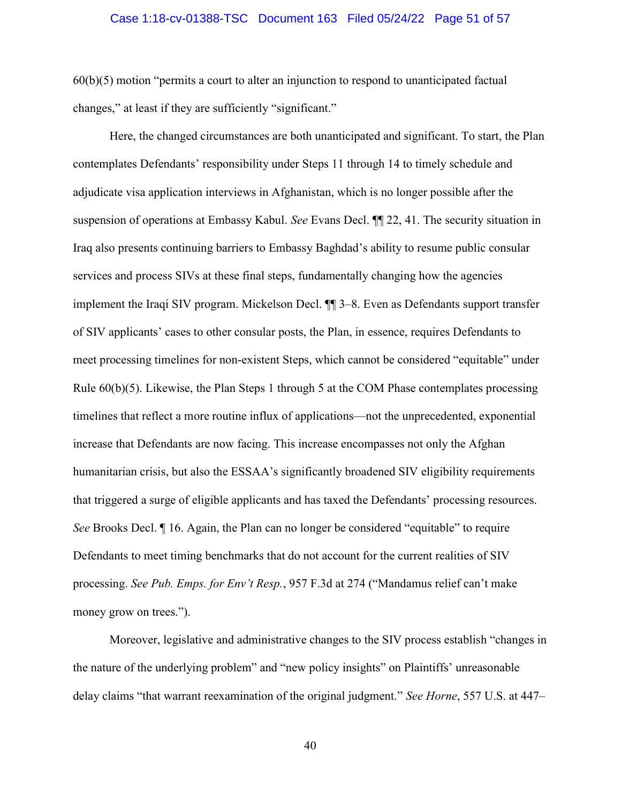#### Case 1:18-cv-01388-TSC Document 163 Filed 05/24/22 Page 51 of 57

60(b)(5) motion "permits a court to alter an injunction to respond to unanticipated factual changes," at least if they are sufficiently "significant."

Here, the changed circumstances are both unanticipated and significant. To start, the Plan contemplates Defendants' responsibility under Steps 11 through 14 to timely schedule and adjudicate visa application interviews in Afghanistan, which is no longer possible after the suspension of operations at Embassy Kabul. See Evans Decl. ¶¶ 22, 41. The security situation in Iraq also presents continuing barriers to Embassy Baghdad's ability to resume public consular services and process SIVs at these final steps, fundamentally changing how the agencies implement the Iraqi SIV program. Mickelson Decl. ¶¶ 3–8. Even as Defendants support transfer of SIV applicants' cases to other consular posts, the Plan, in essence, requires Defendants to meet processing timelines for non-existent Steps, which cannot be considered "equitable" under Rule  $60(b)(5)$ . Likewise, the Plan Steps 1 through 5 at the COM Phase contemplates processing timelines that reflect a more routine influx of applications—not the unprecedented, exponential increase that Defendants are now facing. This increase encompasses not only the Afghan humanitarian crisis, but also the ESSAA's significantly broadened SIV eligibility requirements that triggered a surge of eligible applicants and has taxed the Defendants' processing resources. See Brooks Decl. ¶ 16. Again, the Plan can no longer be considered "equitable" to require Defendants to meet timing benchmarks that do not account for the current realities of SIV processing. See Pub. Emps. for Env't Resp., 957 F.3d at 274 ("Mandamus relief can't make money grow on trees.").

Moreover, legislative and administrative changes to the SIV process establish "changes in the nature of the underlying problem" and "new policy insights" on Plaintiffs' unreasonable delay claims "that warrant reexamination of the original judgment." See Horne, 557 U.S. at 447–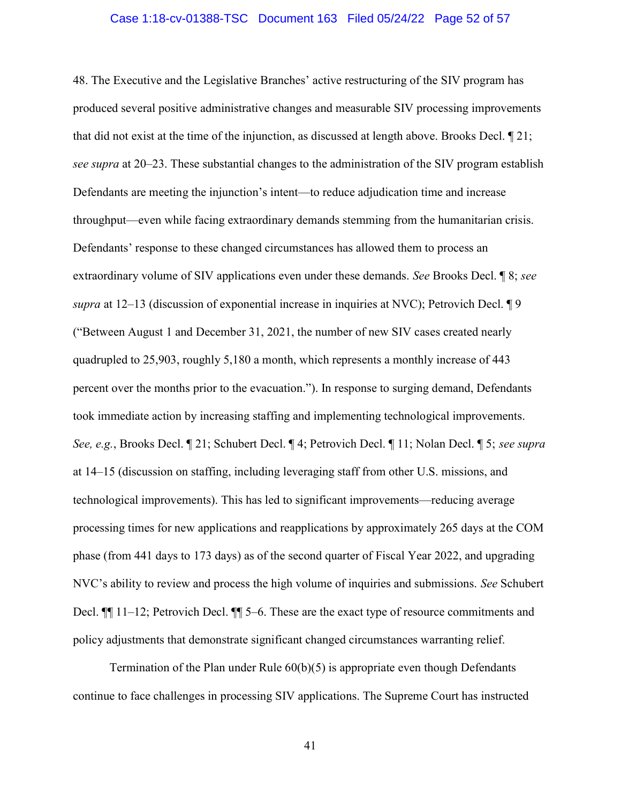#### Case 1:18-cv-01388-TSC Document 163 Filed 05/24/22 Page 52 of 57

48. The Executive and the Legislative Branches' active restructuring of the SIV program has produced several positive administrative changes and measurable SIV processing improvements that did not exist at the time of the injunction, as discussed at length above. Brooks Decl. ¶ 21; see supra at 20–23. These substantial changes to the administration of the SIV program establish Defendants are meeting the injunction's intent—to reduce adjudication time and increase throughput—even while facing extraordinary demands stemming from the humanitarian crisis. Defendants' response to these changed circumstances has allowed them to process an extraordinary volume of SIV applications even under these demands. See Brooks Decl. ¶ 8; see supra at 12–13 (discussion of exponential increase in inquiries at NVC); Petrovich Decl. 19 ("Between August 1 and December 31, 2021, the number of new SIV cases created nearly quadrupled to 25,903, roughly 5,180 a month, which represents a monthly increase of 443 percent over the months prior to the evacuation."). In response to surging demand, Defendants took immediate action by increasing staffing and implementing technological improvements. See, e.g., Brooks Decl. ¶ 21; Schubert Decl. ¶ 4; Petrovich Decl. ¶ 11; Nolan Decl. ¶ 5; see supra at 14–15 (discussion on staffing, including leveraging staff from other U.S. missions, and technological improvements). This has led to significant improvements—reducing average processing times for new applications and reapplications by approximately 265 days at the COM phase (from 441 days to 173 days) as of the second quarter of Fiscal Year 2022, and upgrading NVC's ability to review and process the high volume of inquiries and submissions. See Schubert Decl. ¶¶ 11–12; Petrovich Decl. ¶¶ 5–6. These are the exact type of resource commitments and policy adjustments that demonstrate significant changed circumstances warranting relief.

Termination of the Plan under Rule  $60(b)(5)$  is appropriate even though Defendants continue to face challenges in processing SIV applications. The Supreme Court has instructed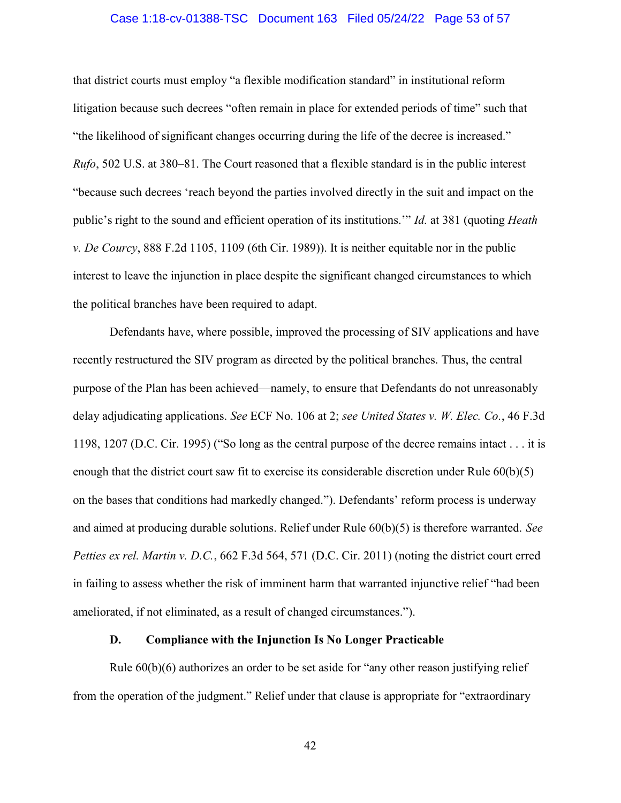#### Case 1:18-cv-01388-TSC Document 163 Filed 05/24/22 Page 53 of 57

that district courts must employ "a flexible modification standard" in institutional reform litigation because such decrees "often remain in place for extended periods of time" such that "the likelihood of significant changes occurring during the life of the decree is increased." Rufo, 502 U.S. at 380–81. The Court reasoned that a flexible standard is in the public interest "because such decrees 'reach beyond the parties involved directly in the suit and impact on the public's right to the sound and efficient operation of its institutions." Id. at 381 (quoting Heath v. De Courcy, 888 F.2d 1105, 1109 (6th Cir. 1989)). It is neither equitable nor in the public interest to leave the injunction in place despite the significant changed circumstances to which the political branches have been required to adapt.

Defendants have, where possible, improved the processing of SIV applications and have recently restructured the SIV program as directed by the political branches. Thus, the central purpose of the Plan has been achieved—namely, to ensure that Defendants do not unreasonably delay adjudicating applications. See ECF No. 106 at 2; see United States v. W. Elec. Co., 46 F.3d 1198, 1207 (D.C. Cir. 1995) ("So long as the central purpose of the decree remains intact . . . it is enough that the district court saw fit to exercise its considerable discretion under Rule 60(b)(5) on the bases that conditions had markedly changed."). Defendants' reform process is underway and aimed at producing durable solutions. Relief under Rule 60(b)(5) is therefore warranted. See Petties ex rel. Martin v. D.C., 662 F.3d 564, 571 (D.C. Cir. 2011) (noting the district court erred in failing to assess whether the risk of imminent harm that warranted injunctive relief "had been ameliorated, if not eliminated, as a result of changed circumstances.").

### D. Compliance with the Injunction Is No Longer Practicable

Rule 60(b)(6) authorizes an order to be set aside for "any other reason justifying relief from the operation of the judgment." Relief under that clause is appropriate for "extraordinary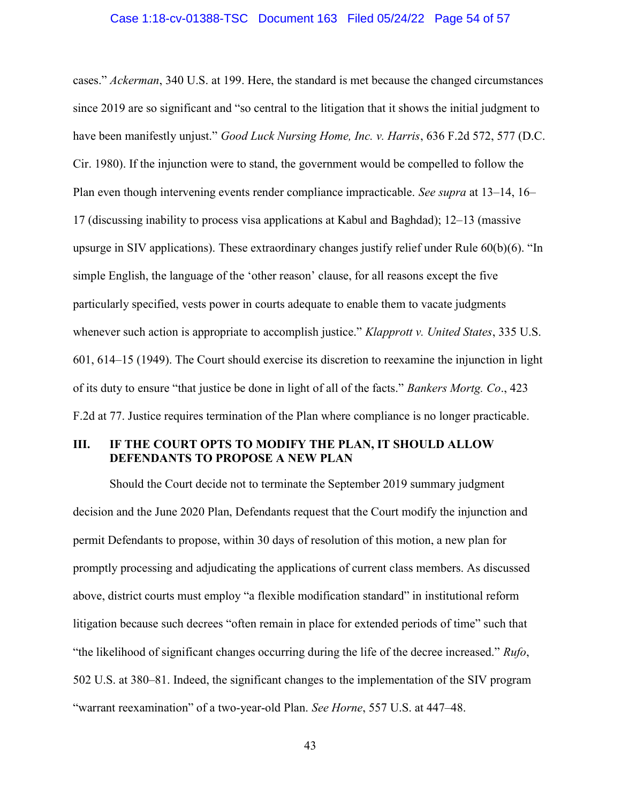#### Case 1:18-cv-01388-TSC Document 163 Filed 05/24/22 Page 54 of 57

cases." Ackerman, 340 U.S. at 199. Here, the standard is met because the changed circumstances since 2019 are so significant and "so central to the litigation that it shows the initial judgment to have been manifestly unjust." Good Luck Nursing Home, Inc. v. Harris, 636 F.2d 572, 577 (D.C. Cir. 1980). If the injunction were to stand, the government would be compelled to follow the Plan even though intervening events render compliance impracticable. See supra at 13–14, 16– 17 (discussing inability to process visa applications at Kabul and Baghdad); 12–13 (massive upsurge in SIV applications). These extraordinary changes justify relief under Rule 60(b)(6). "In simple English, the language of the 'other reason' clause, for all reasons except the five particularly specified, vests power in courts adequate to enable them to vacate judgments whenever such action is appropriate to accomplish justice." Klapprott v. United States, 335 U.S. 601, 614–15 (1949). The Court should exercise its discretion to reexamine the injunction in light of its duty to ensure "that justice be done in light of all of the facts." Bankers Mortg. Co., 423 F.2d at 77. Justice requires termination of the Plan where compliance is no longer practicable.

### III. IF THE COURT OPTS TO MODIFY THE PLAN, IT SHOULD ALLOW DEFENDANTS TO PROPOSE A NEW PLAN

Should the Court decide not to terminate the September 2019 summary judgment decision and the June 2020 Plan, Defendants request that the Court modify the injunction and permit Defendants to propose, within 30 days of resolution of this motion, a new plan for promptly processing and adjudicating the applications of current class members. As discussed above, district courts must employ "a flexible modification standard" in institutional reform litigation because such decrees "often remain in place for extended periods of time" such that "the likelihood of significant changes occurring during the life of the decree increased." Rufo, 502 U.S. at 380–81. Indeed, the significant changes to the implementation of the SIV program "warrant reexamination" of a two-year-old Plan. See Horne, 557 U.S. at 447–48.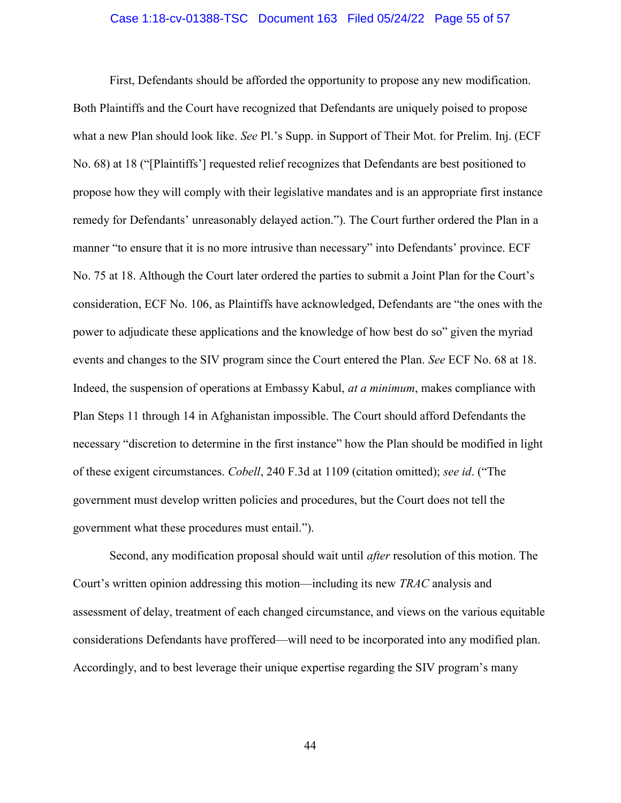#### Case 1:18-cv-01388-TSC Document 163 Filed 05/24/22 Page 55 of 57

 First, Defendants should be afforded the opportunity to propose any new modification. Both Plaintiffs and the Court have recognized that Defendants are uniquely poised to propose what a new Plan should look like. See Pl.'s Supp. in Support of Their Mot. for Prelim. Inj. (ECF No. 68) at 18 ("[Plaintiffs'] requested relief recognizes that Defendants are best positioned to propose how they will comply with their legislative mandates and is an appropriate first instance remedy for Defendants' unreasonably delayed action."). The Court further ordered the Plan in a manner "to ensure that it is no more intrusive than necessary" into Defendants' province. ECF No. 75 at 18. Although the Court later ordered the parties to submit a Joint Plan for the Court's consideration, ECF No. 106, as Plaintiffs have acknowledged, Defendants are "the ones with the power to adjudicate these applications and the knowledge of how best do so" given the myriad events and changes to the SIV program since the Court entered the Plan. See ECF No. 68 at 18. Indeed, the suspension of operations at Embassy Kabul, at a minimum, makes compliance with Plan Steps 11 through 14 in Afghanistan impossible. The Court should afford Defendants the necessary "discretion to determine in the first instance" how the Plan should be modified in light of these exigent circumstances. Cobell, 240 F.3d at 1109 (citation omitted); see id. ("The government must develop written policies and procedures, but the Court does not tell the government what these procedures must entail.").

Second, any modification proposal should wait until *after* resolution of this motion. The Court's written opinion addressing this motion—including its new TRAC analysis and assessment of delay, treatment of each changed circumstance, and views on the various equitable considerations Defendants have proffered—will need to be incorporated into any modified plan. Accordingly, and to best leverage their unique expertise regarding the SIV program's many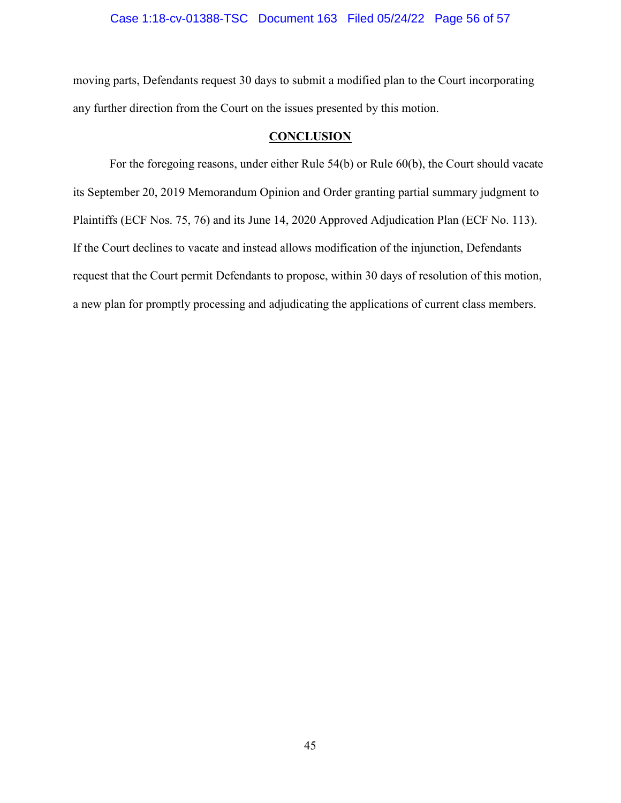### Case 1:18-cv-01388-TSC Document 163 Filed 05/24/22 Page 56 of 57

moving parts, Defendants request 30 days to submit a modified plan to the Court incorporating any further direction from the Court on the issues presented by this motion.

### **CONCLUSION**

For the foregoing reasons, under either Rule 54(b) or Rule 60(b), the Court should vacate its September 20, 2019 Memorandum Opinion and Order granting partial summary judgment to Plaintiffs (ECF Nos. 75, 76) and its June 14, 2020 Approved Adjudication Plan (ECF No. 113). If the Court declines to vacate and instead allows modification of the injunction, Defendants request that the Court permit Defendants to propose, within 30 days of resolution of this motion, a new plan for promptly processing and adjudicating the applications of current class members.